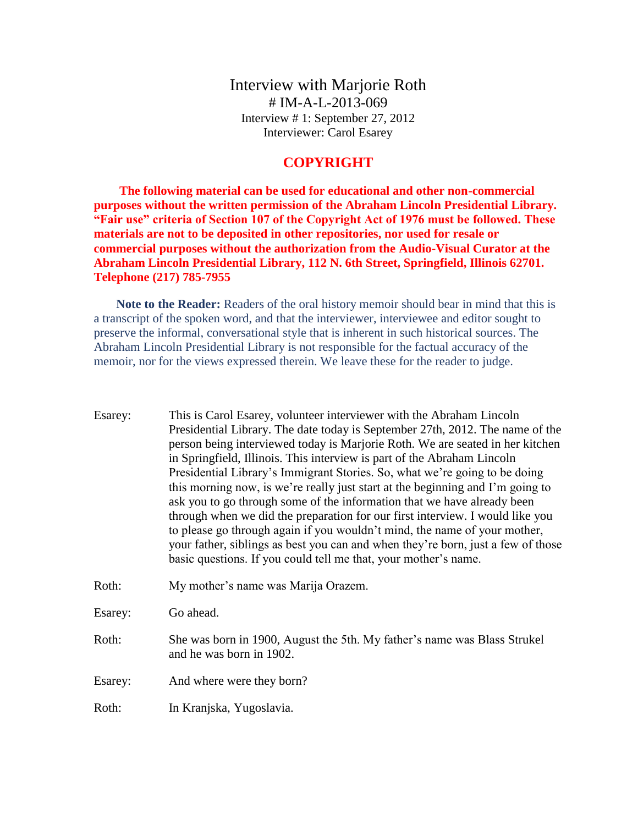Interview with Marjorie Roth # IM-A-L-2013-069 Interview # 1: September 27, 2012 Interviewer: Carol Esarey

## **COPYRIGHT**

**The following material can be used for educational and other non-commercial purposes without the written permission of the Abraham Lincoln Presidential Library. "Fair use" criteria of Section 107 of the Copyright Act of 1976 must be followed. These materials are not to be deposited in other repositories, nor used for resale or commercial purposes without the authorization from the Audio-Visual Curator at the Abraham Lincoln Presidential Library, 112 N. 6th Street, Springfield, Illinois 62701. Telephone (217) 785-7955**

**Note to the Reader:** Readers of the oral history memoir should bear in mind that this is a transcript of the spoken word, and that the interviewer, interviewee and editor sought to preserve the informal, conversational style that is inherent in such historical sources. The Abraham Lincoln Presidential Library is not responsible for the factual accuracy of the memoir, nor for the views expressed therein. We leave these for the reader to judge.

Esarey: This is Carol Esarey, volunteer interviewer with the Abraham Lincoln Presidential Library. The date today is September 27th, 2012. The name of the person being interviewed today is Marjorie Roth. We are seated in her kitchen in Springfield, Illinois. This interview is part of the Abraham Lincoln Presidential Library's Immigrant Stories. So, what we're going to be doing this morning now, is we're really just start at the beginning and I'm going to ask you to go through some of the information that we have already been through when we did the preparation for our first interview. I would like you to please go through again if you wouldn't mind, the name of your mother, your father, siblings as best you can and when they're born, just a few of those basic questions. If you could tell me that, your mother's name. Roth: My mother's name was Marija Orazem. Esarey: Go ahead. Roth: She was born in 1900, August the 5th. My father's name was Blass Strukel and he was born in 1902. Esarey: And where were they born?

Roth: In Kranjska, Yugoslavia.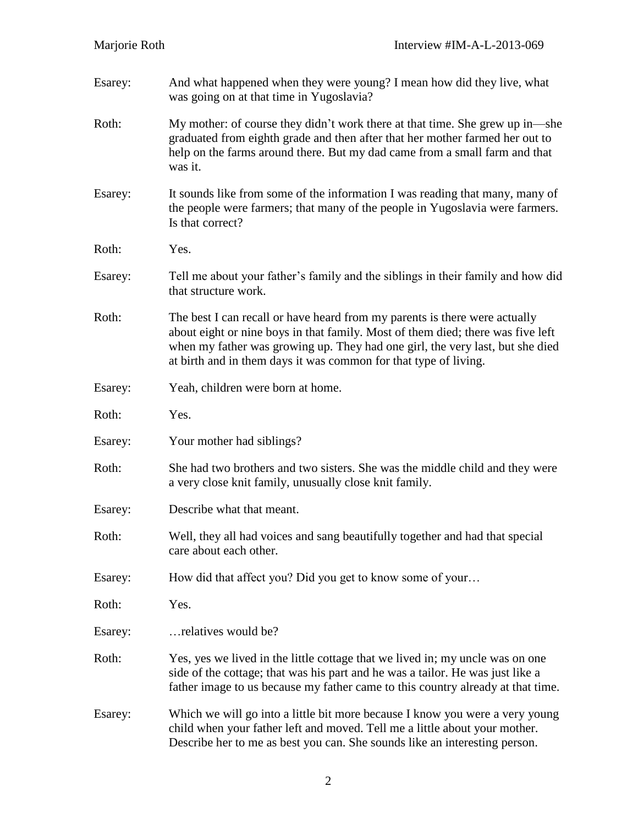| Esarey: | And what happened when they were young? I mean how did they live, what<br>was going on at that time in Yugoslavia?                                                                                                                                                                                                 |
|---------|--------------------------------------------------------------------------------------------------------------------------------------------------------------------------------------------------------------------------------------------------------------------------------------------------------------------|
| Roth:   | My mother: of course they didn't work there at that time. She grew up in—she<br>graduated from eighth grade and then after that her mother farmed her out to<br>help on the farms around there. But my dad came from a small farm and that<br>was it.                                                              |
| Esarey: | It sounds like from some of the information I was reading that many, many of<br>the people were farmers; that many of the people in Yugoslavia were farmers.<br>Is that correct?                                                                                                                                   |
| Roth:   | Yes.                                                                                                                                                                                                                                                                                                               |
| Esarey: | Tell me about your father's family and the siblings in their family and how did<br>that structure work.                                                                                                                                                                                                            |
| Roth:   | The best I can recall or have heard from my parents is there were actually<br>about eight or nine boys in that family. Most of them died; there was five left<br>when my father was growing up. They had one girl, the very last, but she died<br>at birth and in them days it was common for that type of living. |
| Esarey: | Yeah, children were born at home.                                                                                                                                                                                                                                                                                  |
| Roth:   | Yes.                                                                                                                                                                                                                                                                                                               |
| Esarey: | Your mother had siblings?                                                                                                                                                                                                                                                                                          |
| Roth:   | She had two brothers and two sisters. She was the middle child and they were<br>a very close knit family, unusually close knit family.                                                                                                                                                                             |
| Esarey: | Describe what that meant.                                                                                                                                                                                                                                                                                          |
| Roth:   | Well, they all had voices and sang beautifully together and had that special<br>care about each other.                                                                                                                                                                                                             |
| Esarey: | How did that affect you? Did you get to know some of your                                                                                                                                                                                                                                                          |
| Roth:   | Yes.                                                                                                                                                                                                                                                                                                               |
| Esarey: | relatives would be?                                                                                                                                                                                                                                                                                                |
| Roth:   | Yes, yes we lived in the little cottage that we lived in; my uncle was on one<br>side of the cottage; that was his part and he was a tailor. He was just like a<br>father image to us because my father came to this country already at that time.                                                                 |
| Esarey: | Which we will go into a little bit more because I know you were a very young<br>child when your father left and moved. Tell me a little about your mother.<br>Describe her to me as best you can. She sounds like an interesting person.                                                                           |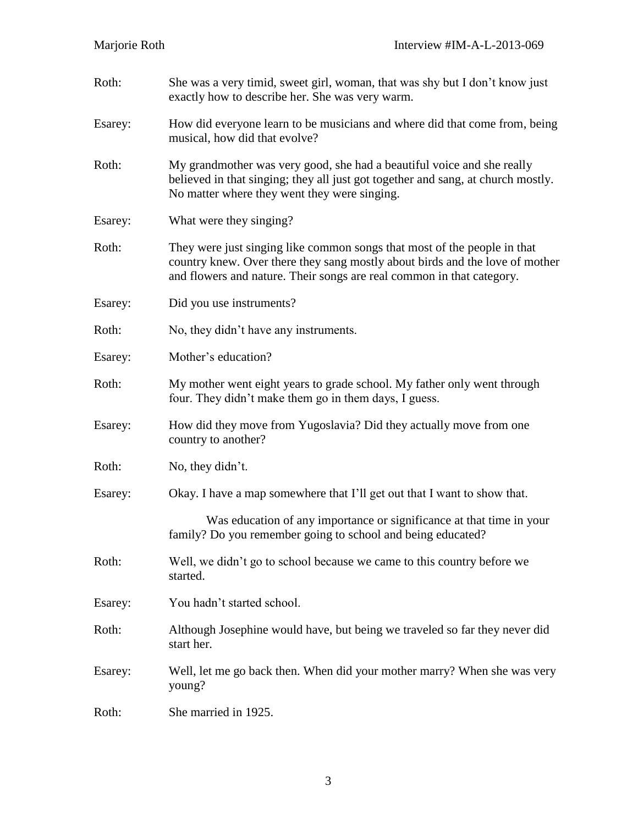Roth: She was a very timid, sweet girl, woman, that was shy but I don't know just exactly how to describe her. She was very warm. Esarey: How did everyone learn to be musicians and where did that come from, being musical, how did that evolve? Roth: My grandmother was very good, she had a beautiful voice and she really believed in that singing; they all just got together and sang, at church mostly. No matter where they went they were singing. Esarey: What were they singing? Roth: They were just singing like common songs that most of the people in that country knew. Over there they sang mostly about birds and the love of mother and flowers and nature. Their songs are real common in that category. Esarey: Did you use instruments? Roth: No, they didn't have any instruments. Esarey: Mother's education? Roth: My mother went eight years to grade school. My father only went through four. They didn't make them go in them days, I guess. Esarey: How did they move from Yugoslavia? Did they actually move from one country to another? Roth: No, they didn't. Esarey: Okay. I have a map somewhere that I'll get out that I want to show that. Was education of any importance or significance at that time in your family? Do you remember going to school and being educated? Roth: Well, we didn't go to school because we came to this country before we started. Esarey: You hadn't started school. Roth: Although Josephine would have, but being we traveled so far they never did start her. Esarey: Well, let me go back then. When did your mother marry? When she was very young? Roth: She married in 1925.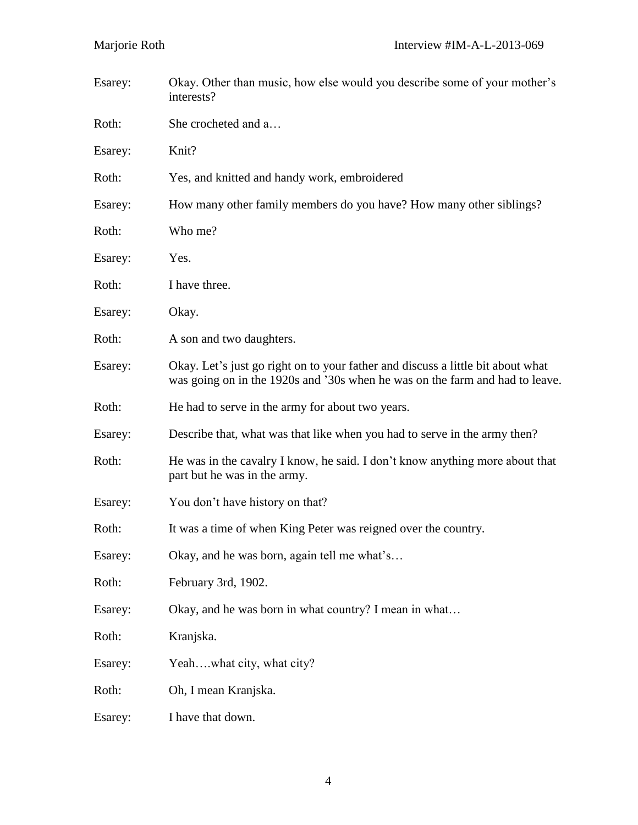| Esarey: | Okay. Other than music, how else would you describe some of your mother's<br>interests?                                                                         |
|---------|-----------------------------------------------------------------------------------------------------------------------------------------------------------------|
| Roth:   | She crocheted and a                                                                                                                                             |
| Esarey: | Knit?                                                                                                                                                           |
| Roth:   | Yes, and knitted and handy work, embroidered                                                                                                                    |
| Esarey: | How many other family members do you have? How many other siblings?                                                                                             |
| Roth:   | Who me?                                                                                                                                                         |
| Esarey: | Yes.                                                                                                                                                            |
| Roth:   | I have three.                                                                                                                                                   |
| Esarey: | Okay.                                                                                                                                                           |
| Roth:   | A son and two daughters.                                                                                                                                        |
| Esarey: | Okay. Let's just go right on to your father and discuss a little bit about what<br>was going on in the 1920s and '30s when he was on the farm and had to leave. |
| Roth:   | He had to serve in the army for about two years.                                                                                                                |
| Esarey: | Describe that, what was that like when you had to serve in the army then?                                                                                       |
| Roth:   | He was in the cavalry I know, he said. I don't know anything more about that<br>part but he was in the army.                                                    |
| Esarey: | You don't have history on that?                                                                                                                                 |
| Roth:   | It was a time of when King Peter was reigned over the country.                                                                                                  |
| Esarey: | Okay, and he was born, again tell me what's                                                                                                                     |
| Roth:   | February 3rd, 1902.                                                                                                                                             |
| Esarey: | Okay, and he was born in what country? I mean in what                                                                                                           |
| Roth:   | Kranjska.                                                                                                                                                       |
| Esarey: | Yeahwhat city, what city?                                                                                                                                       |
| Roth:   | Oh, I mean Kranjska.                                                                                                                                            |
| Esarey: | I have that down.                                                                                                                                               |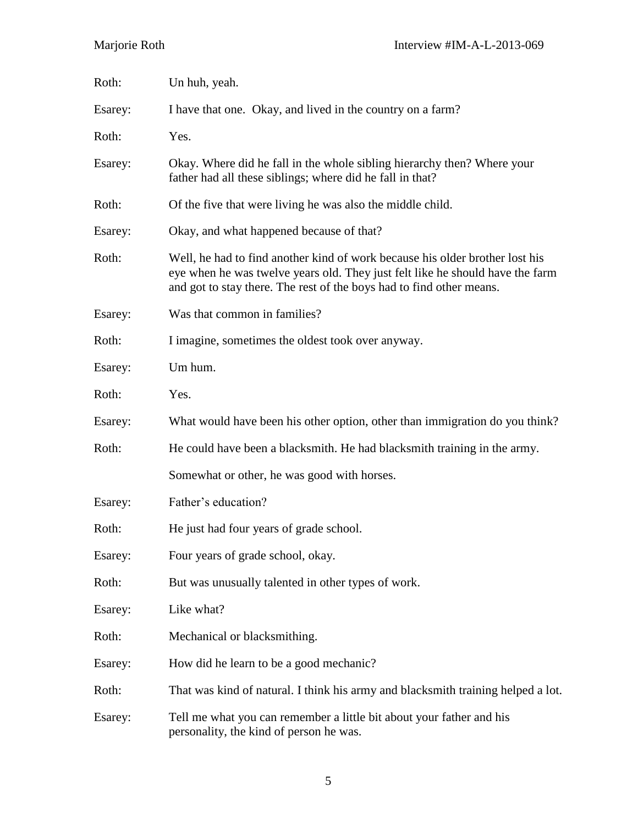| Roth:   | Un huh, yeah.                                                                                                                                                                                                                         |
|---------|---------------------------------------------------------------------------------------------------------------------------------------------------------------------------------------------------------------------------------------|
| Esarey: | I have that one. Okay, and lived in the country on a farm?                                                                                                                                                                            |
| Roth:   | Yes.                                                                                                                                                                                                                                  |
| Esarey: | Okay. Where did he fall in the whole sibling hierarchy then? Where your<br>father had all these siblings; where did he fall in that?                                                                                                  |
| Roth:   | Of the five that were living he was also the middle child.                                                                                                                                                                            |
| Esarey: | Okay, and what happened because of that?                                                                                                                                                                                              |
| Roth:   | Well, he had to find another kind of work because his older brother lost his<br>eye when he was twelve years old. They just felt like he should have the farm<br>and got to stay there. The rest of the boys had to find other means. |
| Esarey: | Was that common in families?                                                                                                                                                                                                          |
| Roth:   | I imagine, sometimes the oldest took over anyway.                                                                                                                                                                                     |
| Esarey: | Um hum.                                                                                                                                                                                                                               |
| Roth:   | Yes.                                                                                                                                                                                                                                  |
| Esarey: | What would have been his other option, other than immigration do you think?                                                                                                                                                           |
| Roth:   | He could have been a blacksmith. He had blacksmith training in the army.                                                                                                                                                              |
|         | Somewhat or other, he was good with horses.                                                                                                                                                                                           |
| Esarey: | Father's education?                                                                                                                                                                                                                   |
| Roth:   | He just had four years of grade school.                                                                                                                                                                                               |
| Esarey: | Four years of grade school, okay.                                                                                                                                                                                                     |
| Roth:   | But was unusually talented in other types of work.                                                                                                                                                                                    |
| Esarey: | Like what?                                                                                                                                                                                                                            |
| Roth:   | Mechanical or blacksmithing.                                                                                                                                                                                                          |
| Esarey: | How did he learn to be a good mechanic?                                                                                                                                                                                               |
| Roth:   | That was kind of natural. I think his army and blacksmith training helped a lot.                                                                                                                                                      |
| Esarey: | Tell me what you can remember a little bit about your father and his<br>personality, the kind of person he was.                                                                                                                       |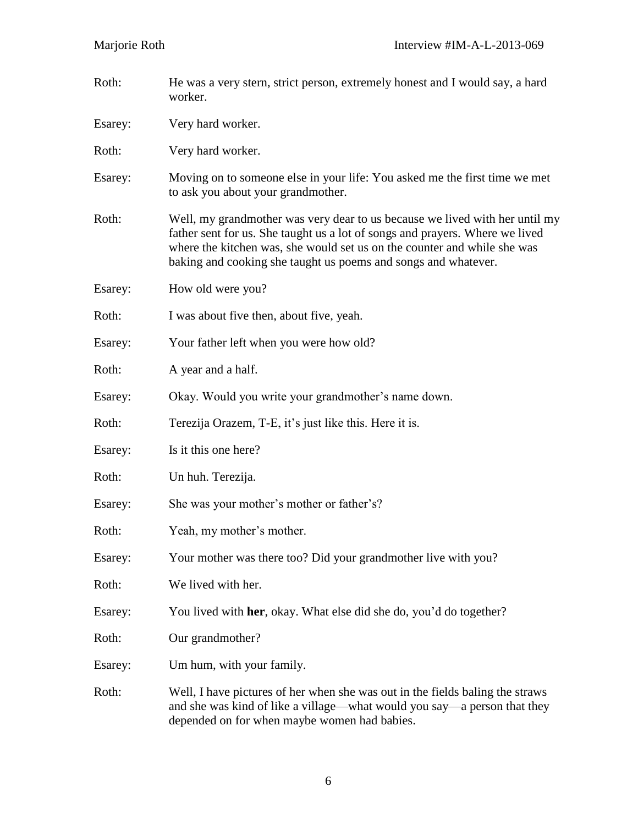| Roth:   | He was a very stern, strict person, extremely honest and I would say, a hard<br>worker.                                                                                                                                                                                                                   |
|---------|-----------------------------------------------------------------------------------------------------------------------------------------------------------------------------------------------------------------------------------------------------------------------------------------------------------|
| Esarey: | Very hard worker.                                                                                                                                                                                                                                                                                         |
| Roth:   | Very hard worker.                                                                                                                                                                                                                                                                                         |
| Esarey: | Moving on to someone else in your life: You asked me the first time we met<br>to ask you about your grandmother.                                                                                                                                                                                          |
| Roth:   | Well, my grandmother was very dear to us because we lived with her until my<br>father sent for us. She taught us a lot of songs and prayers. Where we lived<br>where the kitchen was, she would set us on the counter and while she was<br>baking and cooking she taught us poems and songs and whatever. |
| Esarey: | How old were you?                                                                                                                                                                                                                                                                                         |
| Roth:   | I was about five then, about five, yeah.                                                                                                                                                                                                                                                                  |
| Esarey: | Your father left when you were how old?                                                                                                                                                                                                                                                                   |
| Roth:   | A year and a half.                                                                                                                                                                                                                                                                                        |
| Esarey: | Okay. Would you write your grandmother's name down.                                                                                                                                                                                                                                                       |
| Roth:   | Terezija Orazem, T-E, it's just like this. Here it is.                                                                                                                                                                                                                                                    |
| Esarey: | Is it this one here?                                                                                                                                                                                                                                                                                      |
| Roth:   | Un huh. Terezija.                                                                                                                                                                                                                                                                                         |
| Esarey: | She was your mother's mother or father's?                                                                                                                                                                                                                                                                 |
| Roth:   | Yeah, my mother's mother.                                                                                                                                                                                                                                                                                 |
| Esarey: | Your mother was there too? Did your grandmother live with you?                                                                                                                                                                                                                                            |
| Roth:   | We lived with her.                                                                                                                                                                                                                                                                                        |
| Esarey: | You lived with her, okay. What else did she do, you'd do together?                                                                                                                                                                                                                                        |
| Roth:   | Our grandmother?                                                                                                                                                                                                                                                                                          |
| Esarey: | Um hum, with your family.                                                                                                                                                                                                                                                                                 |
| Roth:   | Well, I have pictures of her when she was out in the fields baling the straws<br>and she was kind of like a village—what would you say—a person that they<br>depended on for when maybe women had babies.                                                                                                 |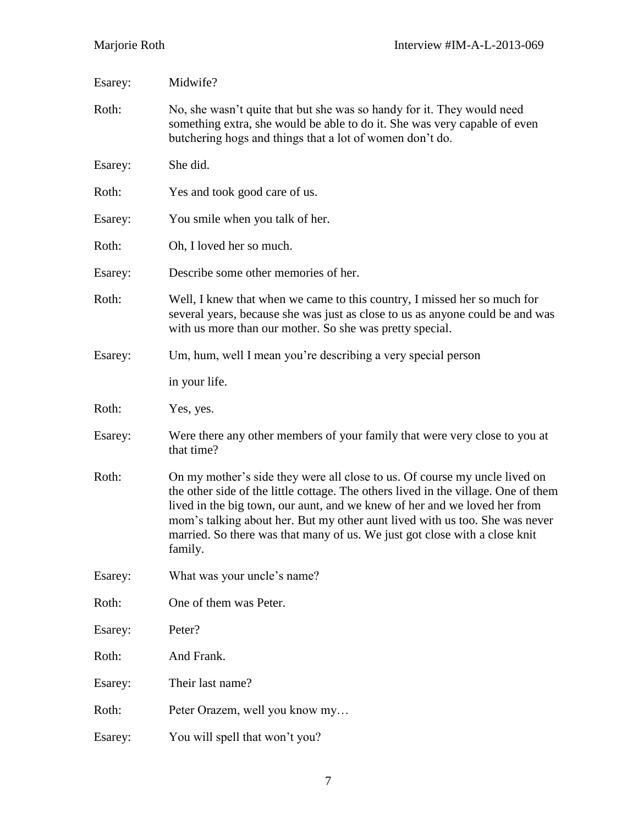| Esarey: | Midwife?                                                                                                                                                                                                                                                                                                                                                                                                              |
|---------|-----------------------------------------------------------------------------------------------------------------------------------------------------------------------------------------------------------------------------------------------------------------------------------------------------------------------------------------------------------------------------------------------------------------------|
| Roth:   | No, she wasn't quite that but she was so handy for it. They would need<br>something extra, she would be able to do it. She was very capable of even<br>butchering hogs and things that a lot of women don't do.                                                                                                                                                                                                       |
| Esarey: | She did.                                                                                                                                                                                                                                                                                                                                                                                                              |
| Roth:   | Yes and took good care of us.                                                                                                                                                                                                                                                                                                                                                                                         |
| Esarey: | You smile when you talk of her.                                                                                                                                                                                                                                                                                                                                                                                       |
| Roth:   | Oh, I loved her so much.                                                                                                                                                                                                                                                                                                                                                                                              |
| Esarey: | Describe some other memories of her.                                                                                                                                                                                                                                                                                                                                                                                  |
| Roth:   | Well, I knew that when we came to this country, I missed her so much for<br>several years, because she was just as close to us as anyone could be and was<br>with us more than our mother. So she was pretty special.                                                                                                                                                                                                 |
| Esarey: | Um, hum, well I mean you're describing a very special person                                                                                                                                                                                                                                                                                                                                                          |
|         | in your life.                                                                                                                                                                                                                                                                                                                                                                                                         |
| Roth:   | Yes, yes.                                                                                                                                                                                                                                                                                                                                                                                                             |
| Esarey: | Were there any other members of your family that were very close to you at<br>that time?                                                                                                                                                                                                                                                                                                                              |
| Roth:   | On my mother's side they were all close to us. Of course my uncle lived on<br>the other side of the little cottage. The others lived in the village. One of them<br>lived in the big town, our aunt, and we knew of her and we loved her from<br>mom's talking about her. But my other aunt lived with us too. She was never<br>married. So there was that many of us. We just got close with a close knit<br>family. |
| Esarey: | What was your uncle's name?                                                                                                                                                                                                                                                                                                                                                                                           |
| Roth:   | One of them was Peter.                                                                                                                                                                                                                                                                                                                                                                                                |
| Esarey: | Peter?                                                                                                                                                                                                                                                                                                                                                                                                                |
| Roth:   | And Frank.                                                                                                                                                                                                                                                                                                                                                                                                            |
| Esarey: | Their last name?                                                                                                                                                                                                                                                                                                                                                                                                      |
| Roth:   | Peter Orazem, well you know my                                                                                                                                                                                                                                                                                                                                                                                        |
| Esarey: | You will spell that won't you?                                                                                                                                                                                                                                                                                                                                                                                        |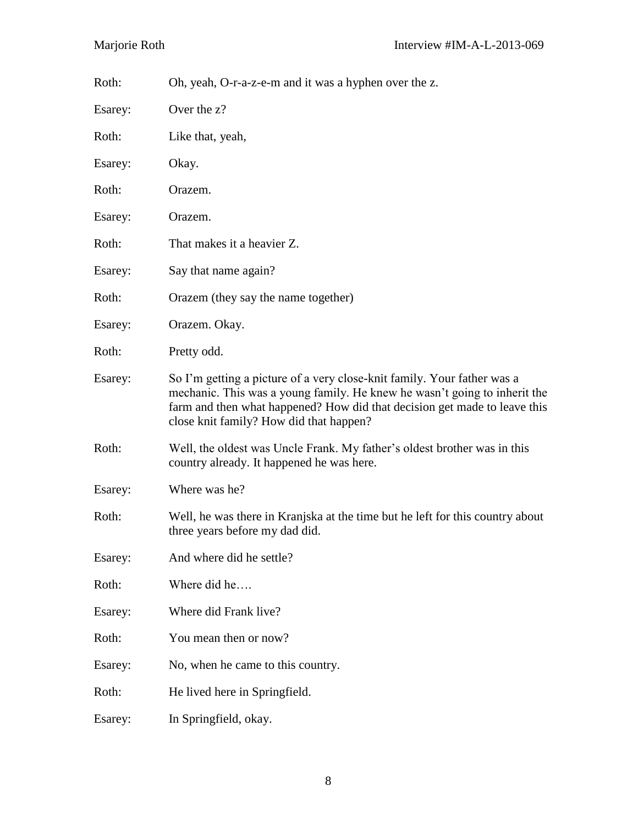| Roth:   | Oh, yeah, O-r-a-z-e-m and it was a hyphen over the z.                                                                                                                                                                                                                        |
|---------|------------------------------------------------------------------------------------------------------------------------------------------------------------------------------------------------------------------------------------------------------------------------------|
| Esarey: | Over the z?                                                                                                                                                                                                                                                                  |
| Roth:   | Like that, yeah,                                                                                                                                                                                                                                                             |
| Esarey: | Okay.                                                                                                                                                                                                                                                                        |
| Roth:   | Orazem.                                                                                                                                                                                                                                                                      |
| Esarey: | Orazem.                                                                                                                                                                                                                                                                      |
| Roth:   | That makes it a heavier Z.                                                                                                                                                                                                                                                   |
| Esarey: | Say that name again?                                                                                                                                                                                                                                                         |
| Roth:   | Orazem (they say the name together)                                                                                                                                                                                                                                          |
| Esarey: | Orazem. Okay.                                                                                                                                                                                                                                                                |
| Roth:   | Pretty odd.                                                                                                                                                                                                                                                                  |
| Esarey: | So I'm getting a picture of a very close-knit family. Your father was a<br>mechanic. This was a young family. He knew he wasn't going to inherit the<br>farm and then what happened? How did that decision get made to leave this<br>close knit family? How did that happen? |
| Roth:   | Well, the oldest was Uncle Frank. My father's oldest brother was in this<br>country already. It happened he was here.                                                                                                                                                        |
| Esarey: | Where was he?                                                                                                                                                                                                                                                                |
| Roth:   | Well, he was there in Kranjska at the time but he left for this country about<br>three years before my dad did.                                                                                                                                                              |
| Esarey: | And where did he settle?                                                                                                                                                                                                                                                     |
| Roth:   | Where did he                                                                                                                                                                                                                                                                 |
| Esarey: | Where did Frank live?                                                                                                                                                                                                                                                        |
| Roth:   | You mean then or now?                                                                                                                                                                                                                                                        |
| Esarey: | No, when he came to this country.                                                                                                                                                                                                                                            |
| Roth:   | He lived here in Springfield.                                                                                                                                                                                                                                                |
| Esarey: | In Springfield, okay.                                                                                                                                                                                                                                                        |
|         |                                                                                                                                                                                                                                                                              |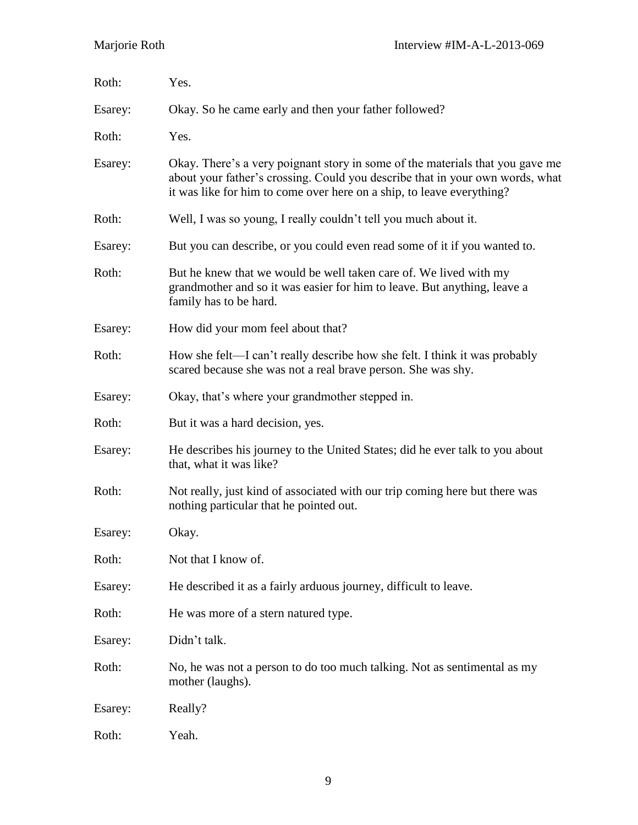| Roth:   | Yes.                                                                                                                                                                                                                                    |
|---------|-----------------------------------------------------------------------------------------------------------------------------------------------------------------------------------------------------------------------------------------|
| Esarey: | Okay. So he came early and then your father followed?                                                                                                                                                                                   |
| Roth:   | Yes.                                                                                                                                                                                                                                    |
| Esarey: | Okay. There's a very poignant story in some of the materials that you gave me<br>about your father's crossing. Could you describe that in your own words, what<br>it was like for him to come over here on a ship, to leave everything? |
| Roth:   | Well, I was so young, I really couldn't tell you much about it.                                                                                                                                                                         |
| Esarey: | But you can describe, or you could even read some of it if you wanted to.                                                                                                                                                               |
| Roth:   | But he knew that we would be well taken care of. We lived with my<br>grandmother and so it was easier for him to leave. But anything, leave a<br>family has to be hard.                                                                 |
| Esarey: | How did your mom feel about that?                                                                                                                                                                                                       |
| Roth:   | How she felt—I can't really describe how she felt. I think it was probably<br>scared because she was not a real brave person. She was shy.                                                                                              |
| Esarey: | Okay, that's where your grandmother stepped in.                                                                                                                                                                                         |
| Roth:   | But it was a hard decision, yes.                                                                                                                                                                                                        |
| Esarey: | He describes his journey to the United States; did he ever talk to you about<br>that, what it was like?                                                                                                                                 |
| Roth:   | Not really, just kind of associated with our trip coming here but there was<br>nothing particular that he pointed out.                                                                                                                  |
| Esarey: | Okay.                                                                                                                                                                                                                                   |
| Roth:   | Not that I know of.                                                                                                                                                                                                                     |
| Esarey: | He described it as a fairly arduous journey, difficult to leave.                                                                                                                                                                        |
| Roth:   | He was more of a stern natured type.                                                                                                                                                                                                    |
| Esarey: | Didn't talk.                                                                                                                                                                                                                            |
| Roth:   | No, he was not a person to do too much talking. Not as sentimental as my<br>mother (laughs).                                                                                                                                            |
| Esarey: | Really?                                                                                                                                                                                                                                 |
| Roth:   | Yeah.                                                                                                                                                                                                                                   |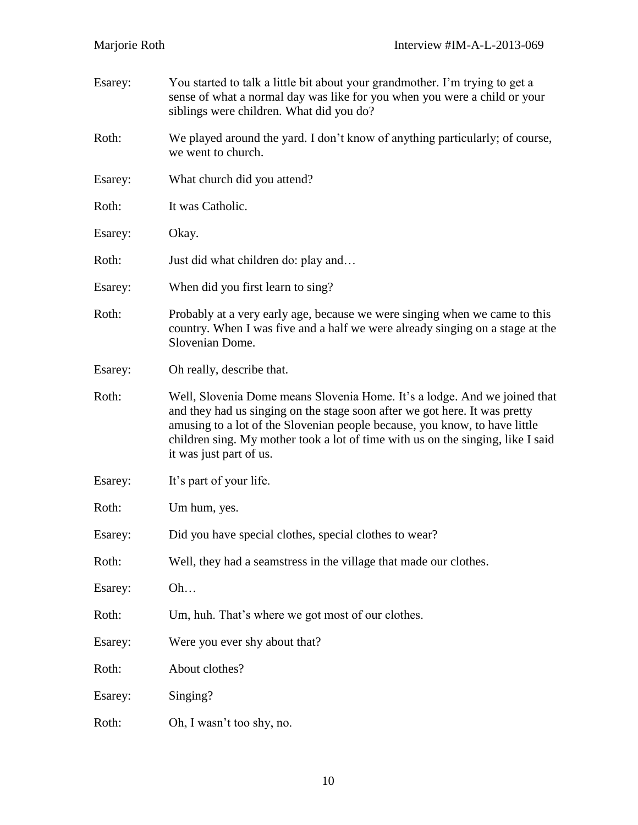| Esarey: | You started to talk a little bit about your grandmother. I'm trying to get a<br>sense of what a normal day was like for you when you were a child or your<br>siblings were children. What did you do?                                                                                                                                               |
|---------|-----------------------------------------------------------------------------------------------------------------------------------------------------------------------------------------------------------------------------------------------------------------------------------------------------------------------------------------------------|
| Roth:   | We played around the yard. I don't know of anything particularly; of course,<br>we went to church.                                                                                                                                                                                                                                                  |
| Esarey: | What church did you attend?                                                                                                                                                                                                                                                                                                                         |
| Roth:   | It was Catholic.                                                                                                                                                                                                                                                                                                                                    |
| Esarey: | Okay.                                                                                                                                                                                                                                                                                                                                               |
| Roth:   | Just did what children do: play and                                                                                                                                                                                                                                                                                                                 |
| Esarey: | When did you first learn to sing?                                                                                                                                                                                                                                                                                                                   |
| Roth:   | Probably at a very early age, because we were singing when we came to this<br>country. When I was five and a half we were already singing on a stage at the<br>Slovenian Dome.                                                                                                                                                                      |
| Esarey: | Oh really, describe that.                                                                                                                                                                                                                                                                                                                           |
| Roth:   | Well, Slovenia Dome means Slovenia Home. It's a lodge. And we joined that<br>and they had us singing on the stage soon after we got here. It was pretty<br>amusing to a lot of the Slovenian people because, you know, to have little<br>children sing. My mother took a lot of time with us on the singing, like I said<br>it was just part of us. |
| Esarey: | It's part of your life.                                                                                                                                                                                                                                                                                                                             |
| Roth:   | Um hum, yes.                                                                                                                                                                                                                                                                                                                                        |
| Esarey: | Did you have special clothes, special clothes to wear?                                                                                                                                                                                                                                                                                              |
| Roth:   | Well, they had a seamstress in the village that made our clothes.                                                                                                                                                                                                                                                                                   |
| Esarey: | Oh                                                                                                                                                                                                                                                                                                                                                  |
| Roth:   | Um, huh. That's where we got most of our clothes.                                                                                                                                                                                                                                                                                                   |
| Esarey: | Were you ever shy about that?                                                                                                                                                                                                                                                                                                                       |
| Roth:   | About clothes?                                                                                                                                                                                                                                                                                                                                      |
| Esarey: | Singing?                                                                                                                                                                                                                                                                                                                                            |
| Roth:   | Oh, I wasn't too shy, no.                                                                                                                                                                                                                                                                                                                           |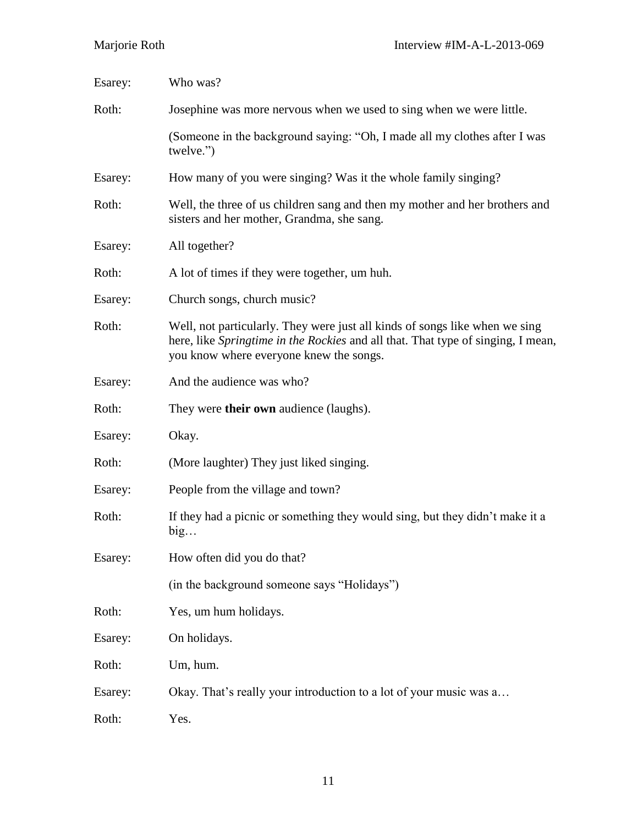| Esarey: | Who was?                                                                                                                                                                                                   |
|---------|------------------------------------------------------------------------------------------------------------------------------------------------------------------------------------------------------------|
| Roth:   | Josephine was more nervous when we used to sing when we were little.                                                                                                                                       |
|         | (Someone in the background saying: "Oh, I made all my clothes after I was<br>twelve.")                                                                                                                     |
| Esarey: | How many of you were singing? Was it the whole family singing?                                                                                                                                             |
| Roth:   | Well, the three of us children sang and then my mother and her brothers and<br>sisters and her mother, Grandma, she sang.                                                                                  |
| Esarey: | All together?                                                                                                                                                                                              |
| Roth:   | A lot of times if they were together, um huh.                                                                                                                                                              |
| Esarey: | Church songs, church music?                                                                                                                                                                                |
| Roth:   | Well, not particularly. They were just all kinds of songs like when we sing<br>here, like Springtime in the Rockies and all that. That type of singing, I mean,<br>you know where everyone knew the songs. |
| Esarey: | And the audience was who?                                                                                                                                                                                  |
| Roth:   | They were <b>their own</b> audience (laughs).                                                                                                                                                              |
| Esarey: | Okay.                                                                                                                                                                                                      |
| Roth:   | (More laughter) They just liked singing.                                                                                                                                                                   |
| Esarey: | People from the village and town?                                                                                                                                                                          |
| Roth:   | If they had a picnic or something they would sing, but they didn't make it a<br>big                                                                                                                        |
| Esarey: | How often did you do that?                                                                                                                                                                                 |
|         | (in the background someone says "Holidays")                                                                                                                                                                |
| Roth:   | Yes, um hum holidays.                                                                                                                                                                                      |
| Esarey: | On holidays.                                                                                                                                                                                               |
| Roth:   | Um, hum.                                                                                                                                                                                                   |
| Esarey: | Okay. That's really your introduction to a lot of your music was a                                                                                                                                         |
| Roth:   | Yes.                                                                                                                                                                                                       |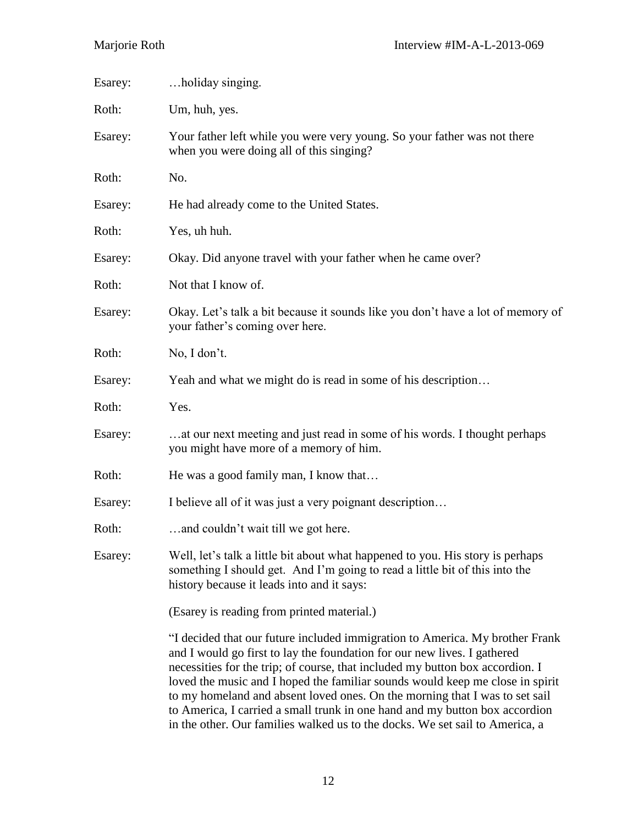| Esarey: | holiday singing.                                                                                                                                                                                                                                                                                                                                                                                                                                                                         |
|---------|------------------------------------------------------------------------------------------------------------------------------------------------------------------------------------------------------------------------------------------------------------------------------------------------------------------------------------------------------------------------------------------------------------------------------------------------------------------------------------------|
| Roth:   | Um, huh, yes.                                                                                                                                                                                                                                                                                                                                                                                                                                                                            |
| Esarey: | Your father left while you were very young. So your father was not there<br>when you were doing all of this singing?                                                                                                                                                                                                                                                                                                                                                                     |
| Roth:   | No.                                                                                                                                                                                                                                                                                                                                                                                                                                                                                      |
| Esarey: | He had already come to the United States.                                                                                                                                                                                                                                                                                                                                                                                                                                                |
| Roth:   | Yes, uh huh.                                                                                                                                                                                                                                                                                                                                                                                                                                                                             |
| Esarey: | Okay. Did anyone travel with your father when he came over?                                                                                                                                                                                                                                                                                                                                                                                                                              |
| Roth:   | Not that I know of.                                                                                                                                                                                                                                                                                                                                                                                                                                                                      |
| Esarey: | Okay. Let's talk a bit because it sounds like you don't have a lot of memory of<br>your father's coming over here.                                                                                                                                                                                                                                                                                                                                                                       |
| Roth:   | No, I don't.                                                                                                                                                                                                                                                                                                                                                                                                                                                                             |
| Esarey: | Yeah and what we might do is read in some of his description                                                                                                                                                                                                                                                                                                                                                                                                                             |
| Roth:   | Yes.                                                                                                                                                                                                                                                                                                                                                                                                                                                                                     |
| Esarey: | at our next meeting and just read in some of his words. I thought perhaps<br>you might have more of a memory of him.                                                                                                                                                                                                                                                                                                                                                                     |
| Roth:   | He was a good family man, I know that                                                                                                                                                                                                                                                                                                                                                                                                                                                    |
| Esarey: | I believe all of it was just a very poignant description                                                                                                                                                                                                                                                                                                                                                                                                                                 |
| Roth:   | and couldn't wait till we got here.                                                                                                                                                                                                                                                                                                                                                                                                                                                      |
| Esarey: | Well, let's talk a little bit about what happened to you. His story is perhaps<br>something I should get. And I'm going to read a little bit of this into the<br>history because it leads into and it says:                                                                                                                                                                                                                                                                              |
|         | (Esarey is reading from printed material.)                                                                                                                                                                                                                                                                                                                                                                                                                                               |
|         | "I decided that our future included immigration to America. My brother Frank<br>and I would go first to lay the foundation for our new lives. I gathered<br>necessities for the trip; of course, that included my button box accordion. I<br>loved the music and I hoped the familiar sounds would keep me close in spirit<br>to my homeland and absent loved ones. On the morning that I was to set sail<br>to America, I carried a small trunk in one hand and my button box accordion |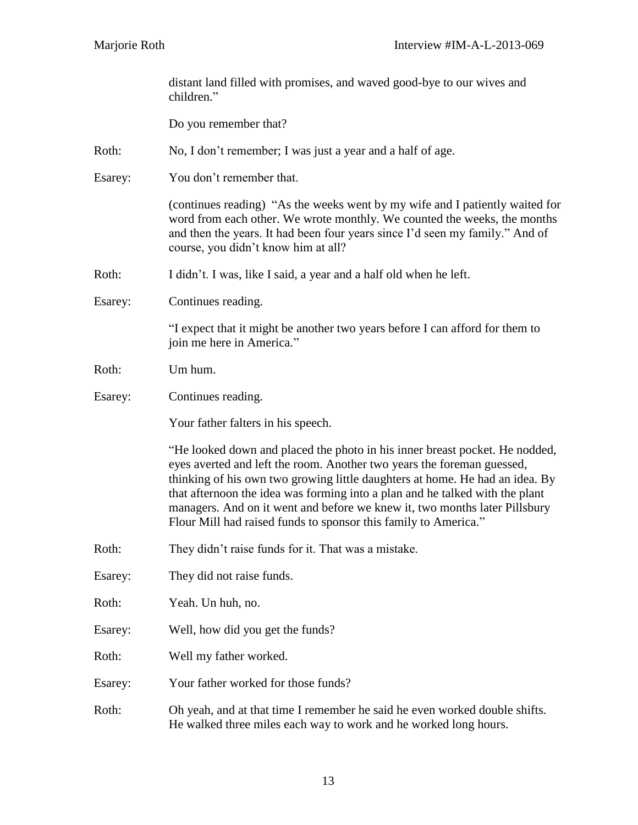|         | distant land filled with promises, and waved good-bye to our wives and<br>children."                                                                                                                                                                                                                                                                                                                                                                                   |
|---------|------------------------------------------------------------------------------------------------------------------------------------------------------------------------------------------------------------------------------------------------------------------------------------------------------------------------------------------------------------------------------------------------------------------------------------------------------------------------|
|         | Do you remember that?                                                                                                                                                                                                                                                                                                                                                                                                                                                  |
| Roth:   | No, I don't remember; I was just a year and a half of age.                                                                                                                                                                                                                                                                                                                                                                                                             |
| Esarey: | You don't remember that.                                                                                                                                                                                                                                                                                                                                                                                                                                               |
|         | (continues reading) "As the weeks went by my wife and I patiently waited for<br>word from each other. We wrote monthly. We counted the weeks, the months<br>and then the years. It had been four years since I'd seen my family." And of<br>course, you didn't know him at all?                                                                                                                                                                                        |
| Roth:   | I didn't. I was, like I said, a year and a half old when he left.                                                                                                                                                                                                                                                                                                                                                                                                      |
| Esarey: | Continues reading.                                                                                                                                                                                                                                                                                                                                                                                                                                                     |
|         | "I expect that it might be another two years before I can afford for them to<br>join me here in America."                                                                                                                                                                                                                                                                                                                                                              |
| Roth:   | Um hum.                                                                                                                                                                                                                                                                                                                                                                                                                                                                |
| Esarey: | Continues reading.                                                                                                                                                                                                                                                                                                                                                                                                                                                     |
|         | Your father falters in his speech.                                                                                                                                                                                                                                                                                                                                                                                                                                     |
|         | "He looked down and placed the photo in his inner breast pocket. He nodded,<br>eyes averted and left the room. Another two years the foreman guessed,<br>thinking of his own two growing little daughters at home. He had an idea. By<br>that afternoon the idea was forming into a plan and he talked with the plant<br>managers. And on it went and before we knew it, two months later Pillsbury<br>Flour Mill had raised funds to sponsor this family to America." |
| Roth:   | They didn't raise funds for it. That was a mistake.                                                                                                                                                                                                                                                                                                                                                                                                                    |
| Esarey: | They did not raise funds.                                                                                                                                                                                                                                                                                                                                                                                                                                              |
| Roth:   | Yeah. Un huh, no.                                                                                                                                                                                                                                                                                                                                                                                                                                                      |
| Esarey: | Well, how did you get the funds?                                                                                                                                                                                                                                                                                                                                                                                                                                       |
| Roth:   | Well my father worked.                                                                                                                                                                                                                                                                                                                                                                                                                                                 |
| Esarey: | Your father worked for those funds?                                                                                                                                                                                                                                                                                                                                                                                                                                    |
| Roth:   | Oh yeah, and at that time I remember he said he even worked double shifts.                                                                                                                                                                                                                                                                                                                                                                                             |

He walked three miles each way to work and he worked long hours.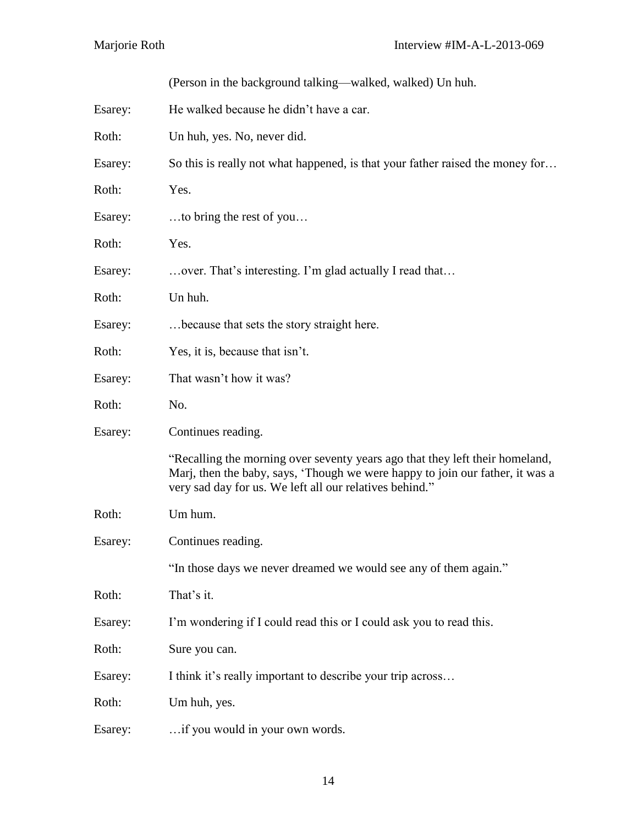|         | (Person in the background talking—walked, walked) Un huh.                                                                                                                                                                |
|---------|--------------------------------------------------------------------------------------------------------------------------------------------------------------------------------------------------------------------------|
| Esarey: | He walked because he didn't have a car.                                                                                                                                                                                  |
| Roth:   | Un huh, yes. No, never did.                                                                                                                                                                                              |
| Esarey: | So this is really not what happened, is that your father raised the money for                                                                                                                                            |
| Roth:   | Yes.                                                                                                                                                                                                                     |
| Esarey: | to bring the rest of you                                                                                                                                                                                                 |
| Roth:   | Yes.                                                                                                                                                                                                                     |
| Esarey: | over. That's interesting. I'm glad actually I read that                                                                                                                                                                  |
| Roth:   | Un huh.                                                                                                                                                                                                                  |
| Esarey: | because that sets the story straight here.                                                                                                                                                                               |
| Roth:   | Yes, it is, because that isn't.                                                                                                                                                                                          |
| Esarey: | That wasn't how it was?                                                                                                                                                                                                  |
| Roth:   | No.                                                                                                                                                                                                                      |
| Esarey: | Continues reading.                                                                                                                                                                                                       |
|         | "Recalling the morning over seventy years ago that they left their homeland,<br>Marj, then the baby, says, 'Though we were happy to join our father, it was a<br>very sad day for us. We left all our relatives behind." |
| Roth:   | Um hum.                                                                                                                                                                                                                  |
| Esarey: | Continues reading.                                                                                                                                                                                                       |
|         | "In those days we never dreamed we would see any of them again."                                                                                                                                                         |
| Roth:   | That's it.                                                                                                                                                                                                               |
| Esarey: | I'm wondering if I could read this or I could ask you to read this.                                                                                                                                                      |
| Roth:   | Sure you can.                                                                                                                                                                                                            |
| Esarey: | I think it's really important to describe your trip across                                                                                                                                                               |
| Roth:   | Um huh, yes.                                                                                                                                                                                                             |
| Esarey: | if you would in your own words.                                                                                                                                                                                          |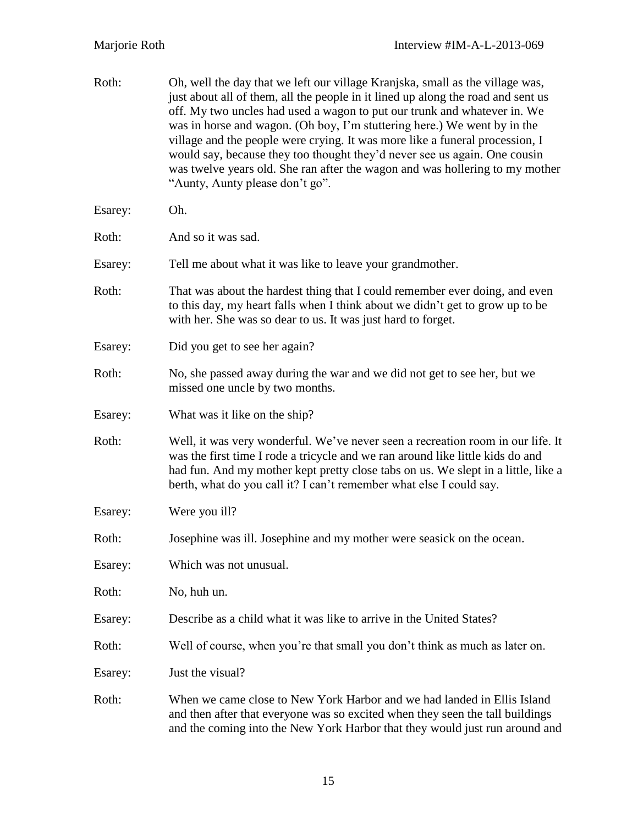| Roth:   | Oh, well the day that we left our village Kranjska, small as the village was,<br>just about all of them, all the people in it lined up along the road and sent us<br>off. My two uncles had used a wagon to put our trunk and whatever in. We<br>was in horse and wagon. (Oh boy, I'm stuttering here.) We went by in the<br>village and the people were crying. It was more like a funeral procession, I<br>would say, because they too thought they'd never see us again. One cousin<br>was twelve years old. She ran after the wagon and was hollering to my mother<br>"Aunty, Aunty please don't go". |
|---------|-----------------------------------------------------------------------------------------------------------------------------------------------------------------------------------------------------------------------------------------------------------------------------------------------------------------------------------------------------------------------------------------------------------------------------------------------------------------------------------------------------------------------------------------------------------------------------------------------------------|
| Esarey: | Oh.                                                                                                                                                                                                                                                                                                                                                                                                                                                                                                                                                                                                       |
| Roth:   | And so it was sad.                                                                                                                                                                                                                                                                                                                                                                                                                                                                                                                                                                                        |
| Esarey: | Tell me about what it was like to leave your grand mother.                                                                                                                                                                                                                                                                                                                                                                                                                                                                                                                                                |
| Roth:   | That was about the hardest thing that I could remember ever doing, and even<br>to this day, my heart falls when I think about we didn't get to grow up to be<br>with her. She was so dear to us. It was just hard to forget.                                                                                                                                                                                                                                                                                                                                                                              |
| Esarey: | Did you get to see her again?                                                                                                                                                                                                                                                                                                                                                                                                                                                                                                                                                                             |
| Roth:   | No, she passed away during the war and we did not get to see her, but we<br>missed one uncle by two months.                                                                                                                                                                                                                                                                                                                                                                                                                                                                                               |
| Esarey: | What was it like on the ship?                                                                                                                                                                                                                                                                                                                                                                                                                                                                                                                                                                             |
| Roth:   | Well, it was very wonderful. We've never seen a recreation room in our life. It<br>was the first time I rode a tricycle and we ran around like little kids do and<br>had fun. And my mother kept pretty close tabs on us. We slept in a little, like a<br>berth, what do you call it? I can't remember what else I could say.                                                                                                                                                                                                                                                                             |
| Esarey: | Were you ill?                                                                                                                                                                                                                                                                                                                                                                                                                                                                                                                                                                                             |
| Roth:   | Josephine was ill. Josephine and my mother were seasick on the ocean.                                                                                                                                                                                                                                                                                                                                                                                                                                                                                                                                     |
| Esarey: | Which was not unusual.                                                                                                                                                                                                                                                                                                                                                                                                                                                                                                                                                                                    |
| Roth:   | No, huh un.                                                                                                                                                                                                                                                                                                                                                                                                                                                                                                                                                                                               |
| Esarey: | Describe as a child what it was like to arrive in the United States?                                                                                                                                                                                                                                                                                                                                                                                                                                                                                                                                      |
| Roth:   | Well of course, when you're that small you don't think as much as later on.                                                                                                                                                                                                                                                                                                                                                                                                                                                                                                                               |
| Esarey: | Just the visual?                                                                                                                                                                                                                                                                                                                                                                                                                                                                                                                                                                                          |
| Roth:   | When we came close to New York Harbor and we had landed in Ellis Island<br>and then after that everyone was so excited when they seen the tall buildings<br>and the coming into the New York Harbor that they would just run around and                                                                                                                                                                                                                                                                                                                                                                   |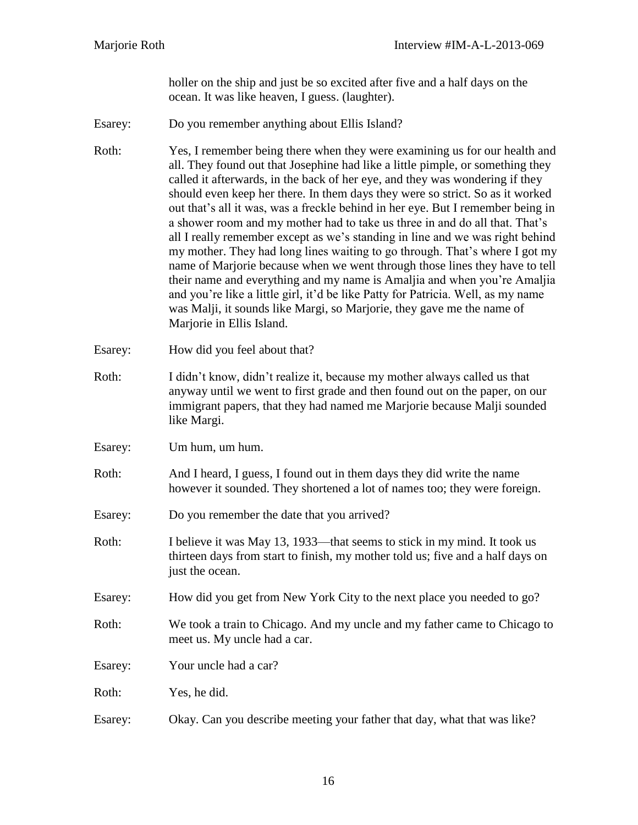holler on the ship and just be so excited after five and a half days on the ocean. It was like heaven, I guess. (laughter).

Esarey: Do you remember anything about Ellis Island?

Roth: Yes, I remember being there when they were examining us for our health and all. They found out that Josephine had like a little pimple, or something they called it afterwards, in the back of her eye, and they was wondering if they should even keep her there. In them days they were so strict. So as it worked out that's all it was, was a freckle behind in her eye. But I remember being in a shower room and my mother had to take us three in and do all that. That's all I really remember except as we's standing in line and we was right behind my mother. They had long lines waiting to go through. That's where I got my name of Marjorie because when we went through those lines they have to tell their name and everything and my name is Amaljia and when you're Amaljia and you're like a little girl, it'd be like Patty for Patricia. Well, as my name was Malji, it sounds like Margi, so Marjorie, they gave me the name of Marjorie in Ellis Island.

- Esarey: How did you feel about that?
- Roth: I didn't know, didn't realize it, because my mother always called us that anyway until we went to first grade and then found out on the paper, on our immigrant papers, that they had named me Marjorie because Malji sounded like Margi.
- Esarey: Um hum, um hum.
- Roth: And I heard, I guess, I found out in them days they did write the name however it sounded. They shortened a lot of names too; they were foreign.
- Esarey: Do you remember the date that you arrived?
- Roth: I believe it was May 13, 1933—that seems to stick in my mind. It took us thirteen days from start to finish, my mother told us; five and a half days on just the ocean.
- Esarey: How did you get from New York City to the next place you needed to go?
- Roth: We took a train to Chicago. And my uncle and my father came to Chicago to meet us. My uncle had a car.
- Esarey: Your uncle had a car?

Roth: Yes, he did.

Esarey: Okay. Can you describe meeting your father that day, what that was like?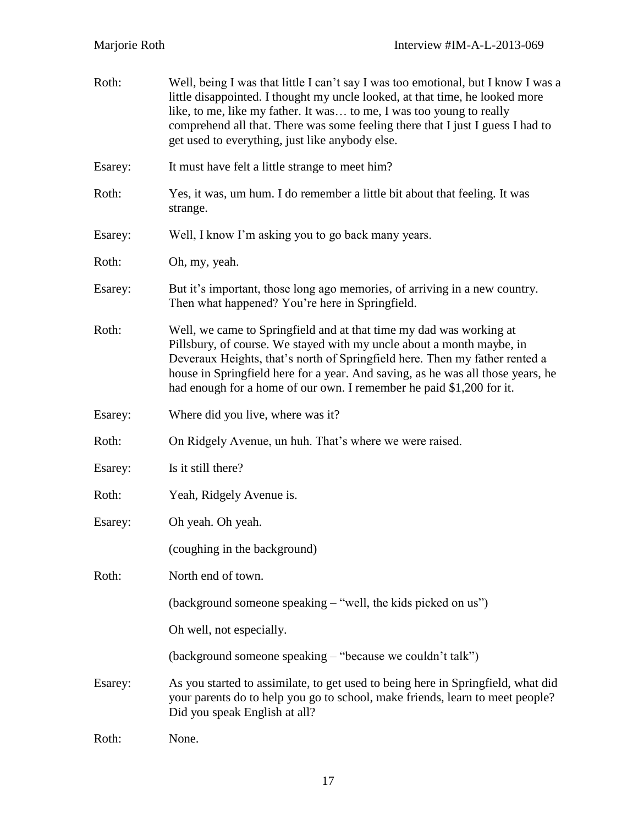| Roth:   | Well, being I was that little I can't say I was too emotional, but I know I was a<br>little disappointed. I thought my uncle looked, at that time, he looked more<br>like, to me, like my father. It was to me, I was too young to really<br>comprehend all that. There was some feeling there that I just I guess I had to<br>get used to everything, just like anybody else.         |
|---------|----------------------------------------------------------------------------------------------------------------------------------------------------------------------------------------------------------------------------------------------------------------------------------------------------------------------------------------------------------------------------------------|
| Esarey: | It must have felt a little strange to meet him?                                                                                                                                                                                                                                                                                                                                        |
| Roth:   | Yes, it was, um hum. I do remember a little bit about that feeling. It was<br>strange.                                                                                                                                                                                                                                                                                                 |
| Esarey: | Well, I know I'm asking you to go back many years.                                                                                                                                                                                                                                                                                                                                     |
| Roth:   | Oh, my, yeah.                                                                                                                                                                                                                                                                                                                                                                          |
| Esarey: | But it's important, those long ago memories, of arriving in a new country.<br>Then what happened? You're here in Springfield.                                                                                                                                                                                                                                                          |
| Roth:   | Well, we came to Springfield and at that time my dad was working at<br>Pillsbury, of course. We stayed with my uncle about a month maybe, in<br>Deveraux Heights, that's north of Springfield here. Then my father rented a<br>house in Springfield here for a year. And saving, as he was all those years, he<br>had enough for a home of our own. I remember he paid \$1,200 for it. |
| Esarey: | Where did you live, where was it?                                                                                                                                                                                                                                                                                                                                                      |
| Roth:   | On Ridgely Avenue, un huh. That's where we were raised.                                                                                                                                                                                                                                                                                                                                |
| Esarey: | Is it still there?                                                                                                                                                                                                                                                                                                                                                                     |
| Roth:   | Yeah, Ridgely Avenue is.                                                                                                                                                                                                                                                                                                                                                               |
| Esarey: | Oh yeah. Oh yeah.                                                                                                                                                                                                                                                                                                                                                                      |
|         | (coughing in the background)                                                                                                                                                                                                                                                                                                                                                           |
| Roth:   | North end of town.                                                                                                                                                                                                                                                                                                                                                                     |
|         | (background someone speaking - "well, the kids picked on us")                                                                                                                                                                                                                                                                                                                          |
|         | Oh well, not especially.                                                                                                                                                                                                                                                                                                                                                               |
|         | (background someone speaking – "because we couldn't talk")                                                                                                                                                                                                                                                                                                                             |
| Esarey: | As you started to assimilate, to get used to being here in Springfield, what did<br>your parents do to help you go to school, make friends, learn to meet people?<br>Did you speak English at all?                                                                                                                                                                                     |
| Roth:   | None.                                                                                                                                                                                                                                                                                                                                                                                  |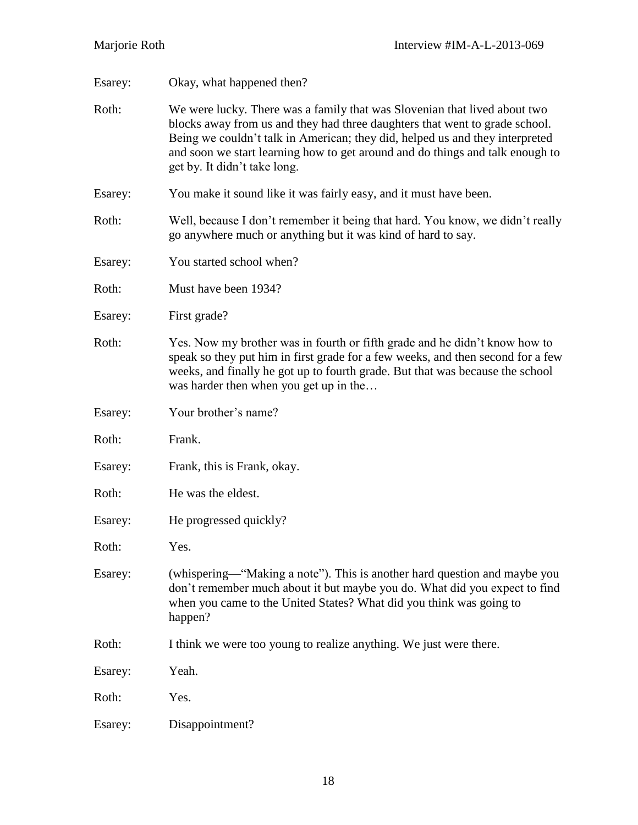| Esarey: | Okay, what happened then?                                                                                                                                                                                                                                                                                                                                 |
|---------|-----------------------------------------------------------------------------------------------------------------------------------------------------------------------------------------------------------------------------------------------------------------------------------------------------------------------------------------------------------|
| Roth:   | We were lucky. There was a family that was Slovenian that lived about two<br>blocks away from us and they had three daughters that went to grade school.<br>Being we couldn't talk in American; they did, helped us and they interpreted<br>and soon we start learning how to get around and do things and talk enough to<br>get by. It didn't take long. |
| Esarey: | You make it sound like it was fairly easy, and it must have been.                                                                                                                                                                                                                                                                                         |
| Roth:   | Well, because I don't remember it being that hard. You know, we didn't really<br>go anywhere much or anything but it was kind of hard to say.                                                                                                                                                                                                             |
| Esarey: | You started school when?                                                                                                                                                                                                                                                                                                                                  |
| Roth:   | Must have been 1934?                                                                                                                                                                                                                                                                                                                                      |
| Esarey: | First grade?                                                                                                                                                                                                                                                                                                                                              |
| Roth:   | Yes. Now my brother was in fourth or fifth grade and he didn't know how to<br>speak so they put him in first grade for a few weeks, and then second for a few<br>weeks, and finally he got up to fourth grade. But that was because the school<br>was harder then when you get up in the                                                                  |
| Esarey: | Your brother's name?                                                                                                                                                                                                                                                                                                                                      |
| Roth:   | Frank.                                                                                                                                                                                                                                                                                                                                                    |
| Esarey: | Frank, this is Frank, okay.                                                                                                                                                                                                                                                                                                                               |
| Roth:   | He was the eldest.                                                                                                                                                                                                                                                                                                                                        |
| Esarey: | He progressed quickly?                                                                                                                                                                                                                                                                                                                                    |
| Roth:   | Yes.                                                                                                                                                                                                                                                                                                                                                      |
| Esarey: | (whispering—"Making a note"). This is another hard question and maybe you<br>don't remember much about it but maybe you do. What did you expect to find<br>when you came to the United States? What did you think was going to<br>happen?                                                                                                                 |
| Roth:   | I think we were too young to realize anything. We just were there.                                                                                                                                                                                                                                                                                        |
| Esarey: | Yeah.                                                                                                                                                                                                                                                                                                                                                     |
| Roth:   | Yes.                                                                                                                                                                                                                                                                                                                                                      |
| Esarey: | Disappointment?                                                                                                                                                                                                                                                                                                                                           |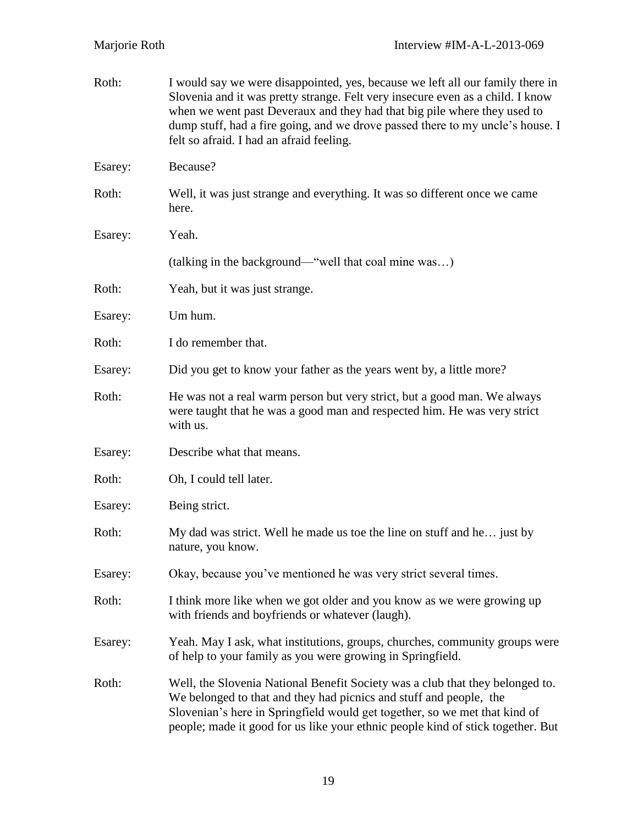| Roth:   | I would say we were disappointed, yes, because we left all our family there in<br>Slovenia and it was pretty strange. Felt very insecure even as a child. I know<br>when we went past Deveraux and they had that big pile where they used to<br>dump stuff, had a fire going, and we drove passed there to my uncle's house. I<br>felt so afraid. I had an afraid feeling. |
|---------|----------------------------------------------------------------------------------------------------------------------------------------------------------------------------------------------------------------------------------------------------------------------------------------------------------------------------------------------------------------------------|
| Esarey: | Because?                                                                                                                                                                                                                                                                                                                                                                   |
| Roth:   | Well, it was just strange and everything. It was so different once we came<br>here.                                                                                                                                                                                                                                                                                        |
| Esarey: | Yeah.                                                                                                                                                                                                                                                                                                                                                                      |
|         | (talking in the background—"well that coal mine was)                                                                                                                                                                                                                                                                                                                       |
| Roth:   | Yeah, but it was just strange.                                                                                                                                                                                                                                                                                                                                             |
| Esarey: | Um hum.                                                                                                                                                                                                                                                                                                                                                                    |
| Roth:   | I do remember that.                                                                                                                                                                                                                                                                                                                                                        |
| Esarey: | Did you get to know your father as the years went by, a little more?                                                                                                                                                                                                                                                                                                       |
| Roth:   | He was not a real warm person but very strict, but a good man. We always<br>were taught that he was a good man and respected him. He was very strict<br>with us.                                                                                                                                                                                                           |
| Esarey: | Describe what that means.                                                                                                                                                                                                                                                                                                                                                  |
| Roth:   | Oh, I could tell later.                                                                                                                                                                                                                                                                                                                                                    |
| Esarey: | Being strict.                                                                                                                                                                                                                                                                                                                                                              |
| Roth:   | My dad was strict. Well he made us toe the line on stuff and he just by<br>nature, you know.                                                                                                                                                                                                                                                                               |
| Esarey: | Okay, because you've mentioned he was very strict several times.                                                                                                                                                                                                                                                                                                           |
| Roth:   | I think more like when we got older and you know as we were growing up<br>with friends and boyfriends or whatever (laugh).                                                                                                                                                                                                                                                 |
| Esarey: | Yeah. May I ask, what institutions, groups, churches, community groups were<br>of help to your family as you were growing in Springfield.                                                                                                                                                                                                                                  |
| Roth:   | Well, the Slovenia National Benefit Society was a club that they belonged to.<br>We belonged to that and they had picnics and stuff and people, the<br>Slovenian's here in Springfield would get together, so we met that kind of<br>people; made it good for us like your ethnic people kind of stick together. But                                                       |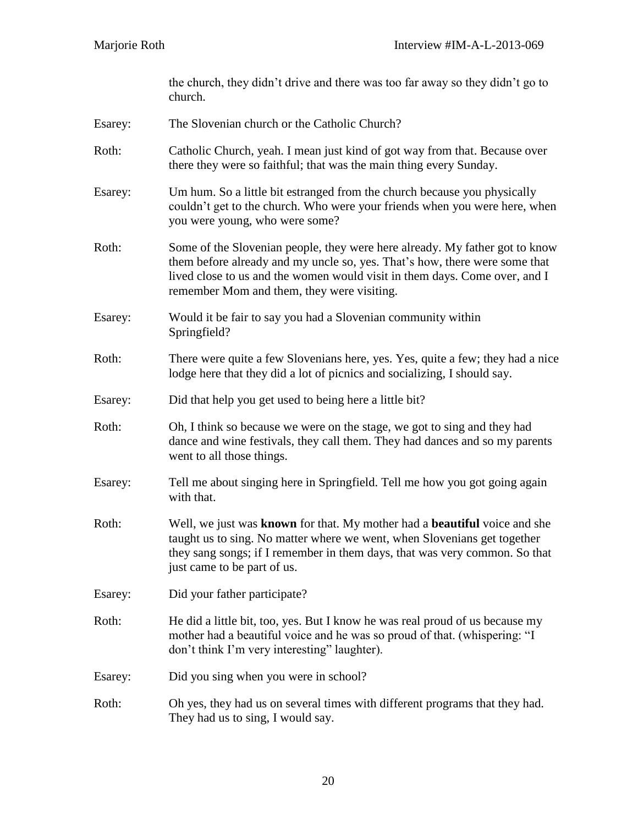the church, they didn't drive and there was too far away so they didn't go to church.

- Esarey: The Slovenian church or the Catholic Church?
- Roth: Catholic Church, yeah. I mean just kind of got way from that. Because over there they were so faithful; that was the main thing every Sunday.
- Esarey: Um hum. So a little bit estranged from the church because you physically couldn't get to the church. Who were your friends when you were here, when you were young, who were some?
- Roth: Some of the Slovenian people, they were here already. My father got to know them before already and my uncle so, yes. That's how, there were some that lived close to us and the women would visit in them days. Come over, and I remember Mom and them, they were visiting.
- Esarey: Would it be fair to say you had a Slovenian community within Springfield?
- Roth: There were quite a few Slovenians here, yes. Yes, quite a few; they had a nice lodge here that they did a lot of picnics and socializing, I should say.
- Esarey: Did that help you get used to being here a little bit?
- Roth: Oh, I think so because we were on the stage, we got to sing and they had dance and wine festivals, they call them. They had dances and so my parents went to all those things.
- Esarey: Tell me about singing here in Springfield. Tell me how you got going again with that.
- Roth: Well, we just was **known** for that. My mother had a **beautiful** voice and she taught us to sing. No matter where we went, when Slovenians get together they sang songs; if I remember in them days, that was very common. So that just came to be part of us.
- Esarey: Did your father participate?
- Roth: He did a little bit, too, yes. But I know he was real proud of us because my mother had a beautiful voice and he was so proud of that. (whispering: "I don't think I'm very interesting" laughter).
- Esarey: Did you sing when you were in school?
- Roth: Oh yes, they had us on several times with different programs that they had. They had us to sing, I would say.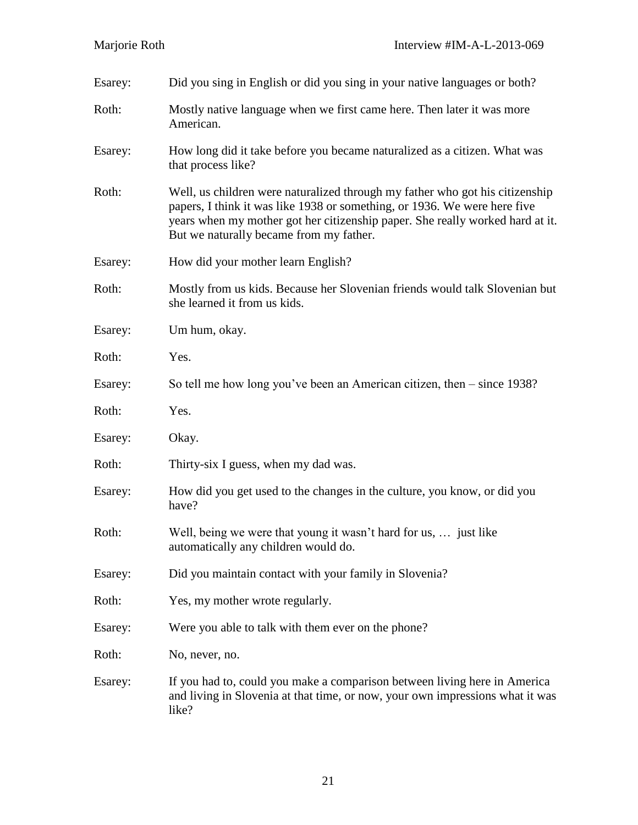| Esarey: | Did you sing in English or did you sing in your native languages or both?                                                                                                                                                                                                             |
|---------|---------------------------------------------------------------------------------------------------------------------------------------------------------------------------------------------------------------------------------------------------------------------------------------|
| Roth:   | Mostly native language when we first came here. Then later it was more<br>American.                                                                                                                                                                                                   |
| Esarey: | How long did it take before you became naturalized as a citizen. What was<br>that process like?                                                                                                                                                                                       |
| Roth:   | Well, us children were naturalized through my father who got his citizenship<br>papers, I think it was like 1938 or something, or 1936. We were here five<br>years when my mother got her citizenship paper. She really worked hard at it.<br>But we naturally became from my father. |
| Esarey: | How did your mother learn English?                                                                                                                                                                                                                                                    |
| Roth:   | Mostly from us kids. Because her Slovenian friends would talk Slovenian but<br>she learned it from us kids.                                                                                                                                                                           |
| Esarey: | Um hum, okay.                                                                                                                                                                                                                                                                         |
| Roth:   | Yes.                                                                                                                                                                                                                                                                                  |
| Esarey: | So tell me how long you've been an American citizen, then $-$ since 1938?                                                                                                                                                                                                             |
| Roth:   | Yes.                                                                                                                                                                                                                                                                                  |
| Esarey: | Okay.                                                                                                                                                                                                                                                                                 |
| Roth:   | Thirty-six I guess, when my dad was.                                                                                                                                                                                                                                                  |
| Esarey: | How did you get used to the changes in the culture, you know, or did you<br>have?                                                                                                                                                                                                     |
| Roth:   | Well, being we were that young it wasn't hard for us,  just like<br>automatically any children would do.                                                                                                                                                                              |
| Esarey: | Did you maintain contact with your family in Slovenia?                                                                                                                                                                                                                                |
| Roth:   | Yes, my mother wrote regularly.                                                                                                                                                                                                                                                       |
| Esarey: | Were you able to talk with them ever on the phone?                                                                                                                                                                                                                                    |
| Roth:   | No, never, no.                                                                                                                                                                                                                                                                        |
| Esarey: | If you had to, could you make a comparison between living here in America<br>and living in Slovenia at that time, or now, your own impressions what it was<br>like?                                                                                                                   |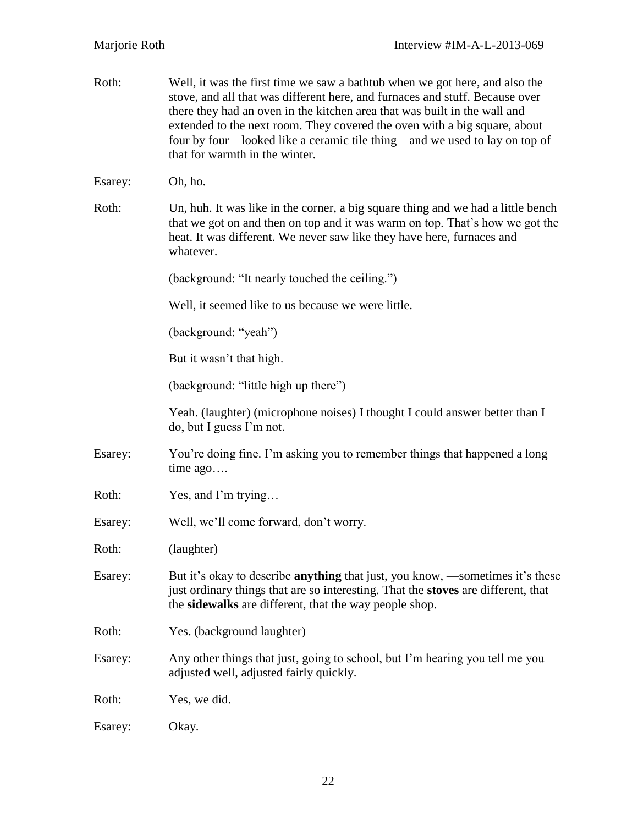| Roth:   | Well, it was the first time we saw a bathtub when we got here, and also the<br>stove, and all that was different here, and furnaces and stuff. Because over<br>there they had an oven in the kitchen area that was built in the wall and<br>extended to the next room. They covered the oven with a big square, about<br>four by four—looked like a ceramic tile thing—and we used to lay on top of<br>that for warmth in the winter. |
|---------|---------------------------------------------------------------------------------------------------------------------------------------------------------------------------------------------------------------------------------------------------------------------------------------------------------------------------------------------------------------------------------------------------------------------------------------|
| Esarey: | Oh, ho.                                                                                                                                                                                                                                                                                                                                                                                                                               |
| Roth:   | Un, huh. It was like in the corner, a big square thing and we had a little bench<br>that we got on and then on top and it was warm on top. That's how we got the<br>heat. It was different. We never saw like they have here, furnaces and<br>whatever.                                                                                                                                                                               |
|         | (background: "It nearly touched the ceiling.")                                                                                                                                                                                                                                                                                                                                                                                        |
|         | Well, it seemed like to us because we were little.                                                                                                                                                                                                                                                                                                                                                                                    |
|         | (background: "yeah")                                                                                                                                                                                                                                                                                                                                                                                                                  |
|         | But it wasn't that high.                                                                                                                                                                                                                                                                                                                                                                                                              |
|         | (background: "little high up there")                                                                                                                                                                                                                                                                                                                                                                                                  |
|         | Yeah. (laughter) (microphone noises) I thought I could answer better than I<br>do, but I guess I'm not.                                                                                                                                                                                                                                                                                                                               |
| Esarey: | You're doing fine. I'm asking you to remember things that happened a long<br>time $ago$                                                                                                                                                                                                                                                                                                                                               |
| Roth:   | Yes, and I'm trying                                                                                                                                                                                                                                                                                                                                                                                                                   |
| Esarey: | Well, we'll come forward, don't worry.                                                                                                                                                                                                                                                                                                                                                                                                |
| Roth:   | (laughter)                                                                                                                                                                                                                                                                                                                                                                                                                            |
| Esarey: | But it's okay to describe <b>anything</b> that just, you know, —sometimes it's these<br>just ordinary things that are so interesting. That the stoves are different, that<br>the sidewalks are different, that the way people shop.                                                                                                                                                                                                   |
| Roth:   | Yes. (background laughter)                                                                                                                                                                                                                                                                                                                                                                                                            |
| Esarey: | Any other things that just, going to school, but I'm hearing you tell me you<br>adjusted well, adjusted fairly quickly.                                                                                                                                                                                                                                                                                                               |
| Roth:   | Yes, we did.                                                                                                                                                                                                                                                                                                                                                                                                                          |
| Esarey: | Okay.                                                                                                                                                                                                                                                                                                                                                                                                                                 |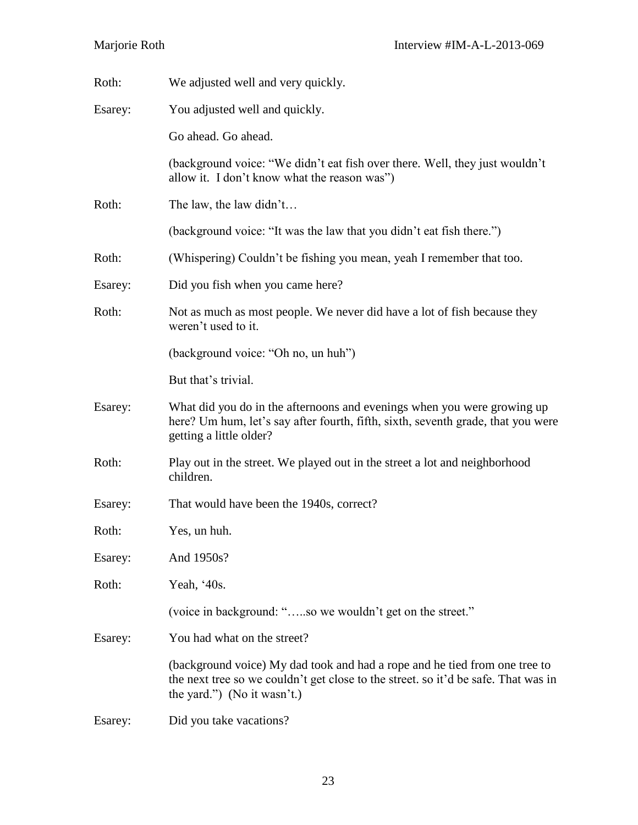| Roth:   | We adjusted well and very quickly.                                                                                                                                                              |
|---------|-------------------------------------------------------------------------------------------------------------------------------------------------------------------------------------------------|
| Esarey: | You adjusted well and quickly.                                                                                                                                                                  |
|         | Go ahead. Go ahead.                                                                                                                                                                             |
|         | (background voice: "We didn't eat fish over there. Well, they just wouldn't<br>allow it. I don't know what the reason was")                                                                     |
| Roth:   | The law, the law didn't                                                                                                                                                                         |
|         | (background voice: "It was the law that you didn't eat fish there.")                                                                                                                            |
| Roth:   | (Whispering) Couldn't be fishing you mean, yeah I remember that too.                                                                                                                            |
| Esarey: | Did you fish when you came here?                                                                                                                                                                |
| Roth:   | Not as much as most people. We never did have a lot of fish because they<br>weren't used to it.                                                                                                 |
|         | (background voice: "Oh no, un huh")                                                                                                                                                             |
|         | But that's trivial.                                                                                                                                                                             |
| Esarey: | What did you do in the afternoons and evenings when you were growing up<br>here? Um hum, let's say after fourth, fifth, sixth, seventh grade, that you were<br>getting a little older?          |
| Roth:   | Play out in the street. We played out in the street a lot and neighborhood<br>children.                                                                                                         |
| Esarey: | That would have been the 1940s, correct?                                                                                                                                                        |
| Roth:   | Yes, un huh.                                                                                                                                                                                    |
| Esarey: | And 1950s?                                                                                                                                                                                      |
| Roth:   | Yeah, '40s.                                                                                                                                                                                     |
|         | (voice in background: "so we wouldn't get on the street."                                                                                                                                       |
| Esarey: | You had what on the street?                                                                                                                                                                     |
|         | (background voice) My dad took and had a rope and he tied from one tree to<br>the next tree so we couldn't get close to the street. so it'd be safe. That was in<br>the yard.") (No it wasn't.) |
| Esarey: | Did you take vacations?                                                                                                                                                                         |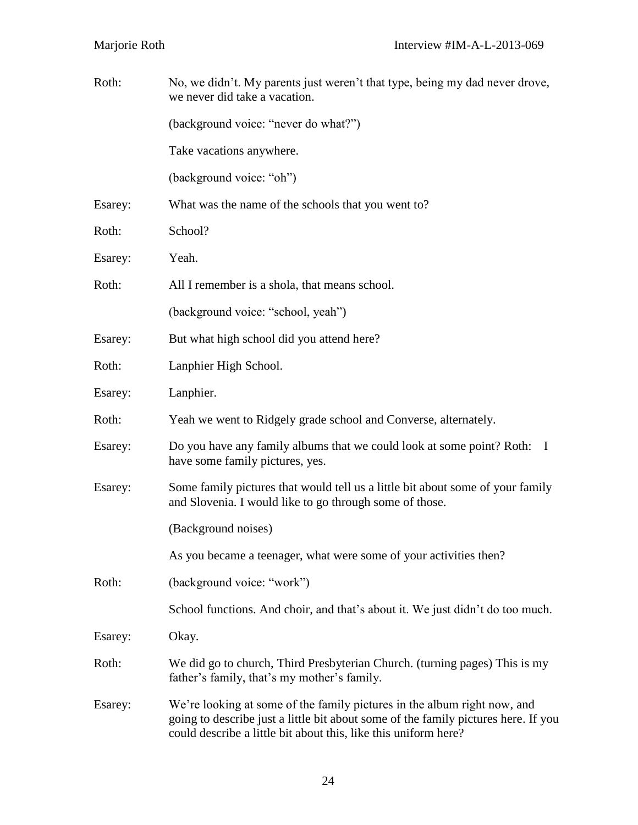| Roth:   | No, we didn't. My parents just weren't that type, being my dad never drove,<br>we never did take a vacation.                                                                                                                      |
|---------|-----------------------------------------------------------------------------------------------------------------------------------------------------------------------------------------------------------------------------------|
|         | (background voice: "never do what?")                                                                                                                                                                                              |
|         | Take vacations anywhere.                                                                                                                                                                                                          |
|         | (background voice: "oh")                                                                                                                                                                                                          |
| Esarey: | What was the name of the schools that you went to?                                                                                                                                                                                |
| Roth:   | School?                                                                                                                                                                                                                           |
| Esarey: | Yeah.                                                                                                                                                                                                                             |
| Roth:   | All I remember is a shola, that means school.                                                                                                                                                                                     |
|         | (background voice: "school, yeah")                                                                                                                                                                                                |
| Esarey: | But what high school did you attend here?                                                                                                                                                                                         |
| Roth:   | Lanphier High School.                                                                                                                                                                                                             |
| Esarey: | Lanphier.                                                                                                                                                                                                                         |
| Roth:   | Yeah we went to Ridgely grade school and Converse, alternately.                                                                                                                                                                   |
| Esarey: | Do you have any family albums that we could look at some point? Roth: I<br>have some family pictures, yes.                                                                                                                        |
| Esarey: | Some family pictures that would tell us a little bit about some of your family<br>and Slovenia. I would like to go through some of those.                                                                                         |
|         | (Background noises)                                                                                                                                                                                                               |
|         | As you became a teenager, what were some of your activities then?                                                                                                                                                                 |
| Roth:   | (background voice: "work")                                                                                                                                                                                                        |
|         | School functions. And choir, and that's about it. We just didn't do too much.                                                                                                                                                     |
| Esarey: | Okay.                                                                                                                                                                                                                             |
| Roth:   | We did go to church, Third Presbyterian Church. (turning pages) This is my<br>father's family, that's my mother's family.                                                                                                         |
| Esarey: | We're looking at some of the family pictures in the album right now, and<br>going to describe just a little bit about some of the family pictures here. If you<br>could describe a little bit about this, like this uniform here? |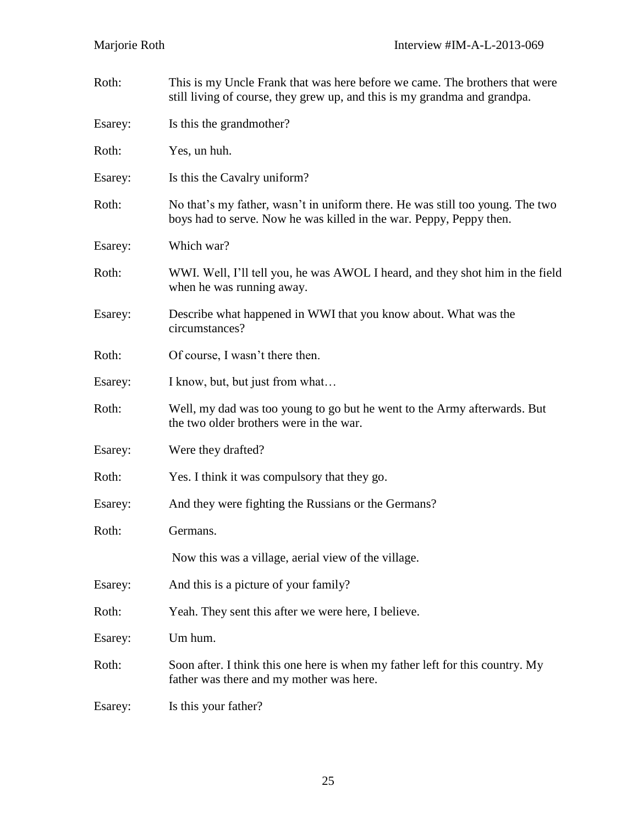| Roth:   | This is my Uncle Frank that was here before we came. The brothers that were<br>still living of course, they grew up, and this is my grandma and grandpa. |
|---------|----------------------------------------------------------------------------------------------------------------------------------------------------------|
| Esarey: | Is this the grandmother?                                                                                                                                 |
| Roth:   | Yes, un huh.                                                                                                                                             |
| Esarey: | Is this the Cavalry uniform?                                                                                                                             |
| Roth:   | No that's my father, wasn't in uniform there. He was still too young. The two<br>boys had to serve. Now he was killed in the war. Peppy, Peppy then.     |
| Esarey: | Which war?                                                                                                                                               |
| Roth:   | WWI. Well, I'll tell you, he was AWOL I heard, and they shot him in the field<br>when he was running away.                                               |
| Esarey: | Describe what happened in WWI that you know about. What was the<br>circumstances?                                                                        |
| Roth:   | Of course, I wasn't there then.                                                                                                                          |
| Esarey: | I know, but, but just from what                                                                                                                          |
| Roth:   | Well, my dad was too young to go but he went to the Army afterwards. But<br>the two older brothers were in the war.                                      |
| Esarey: | Were they drafted?                                                                                                                                       |
| Roth:   | Yes. I think it was compulsory that they go.                                                                                                             |
| Esarey: | And they were fighting the Russians or the Germans?                                                                                                      |
| Roth:   | Germans.                                                                                                                                                 |
|         | Now this was a village, aerial view of the village.                                                                                                      |
| Esarey: | And this is a picture of your family?                                                                                                                    |
| Roth:   | Yeah. They sent this after we were here, I believe.                                                                                                      |
| Esarey: | Um hum.                                                                                                                                                  |
| Roth:   | Soon after. I think this one here is when my father left for this country. My<br>father was there and my mother was here.                                |
| Esarey: | Is this your father?                                                                                                                                     |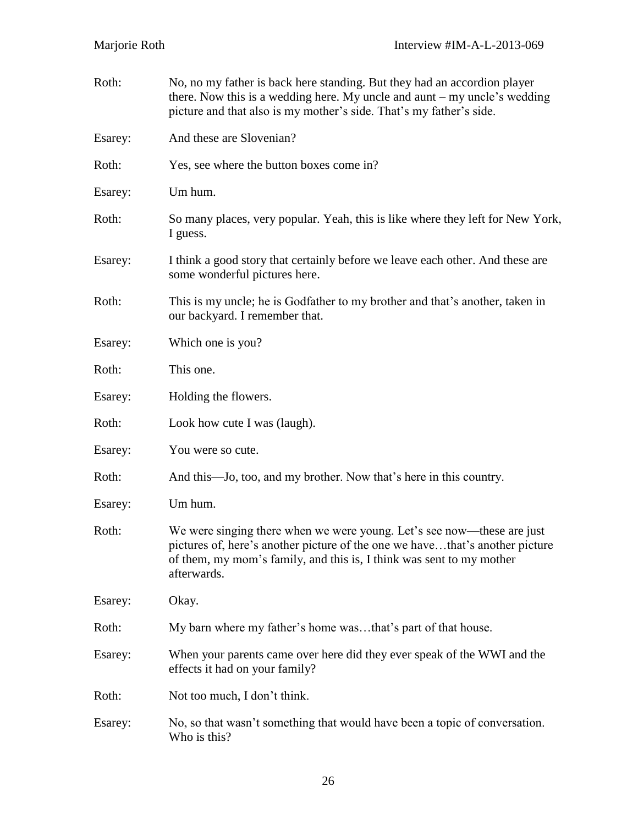| Roth:   | No, no my father is back here standing. But they had an accordion player<br>there. Now this is a wedding here. My uncle and aunt $-$ my uncle's wedding<br>picture and that also is my mother's side. That's my father's side.                |
|---------|-----------------------------------------------------------------------------------------------------------------------------------------------------------------------------------------------------------------------------------------------|
| Esarey: | And these are Slovenian?                                                                                                                                                                                                                      |
| Roth:   | Yes, see where the button boxes come in?                                                                                                                                                                                                      |
| Esarey: | Um hum.                                                                                                                                                                                                                                       |
| Roth:   | So many places, very popular. Yeah, this is like where they left for New York,<br>I guess.                                                                                                                                                    |
| Esarey: | I think a good story that certainly before we leave each other. And these are<br>some wonderful pictures here.                                                                                                                                |
| Roth:   | This is my uncle; he is Godfather to my brother and that's another, taken in<br>our backyard. I remember that.                                                                                                                                |
| Esarey: | Which one is you?                                                                                                                                                                                                                             |
| Roth:   | This one.                                                                                                                                                                                                                                     |
| Esarey: | Holding the flowers.                                                                                                                                                                                                                          |
| Roth:   | Look how cute I was (laugh).                                                                                                                                                                                                                  |
| Esarey: | You were so cute.                                                                                                                                                                                                                             |
| Roth:   | And this—Jo, too, and my brother. Now that's here in this country.                                                                                                                                                                            |
| Esarey: | Um hum.                                                                                                                                                                                                                                       |
| Roth:   | We were singing there when we were young. Let's see now—these are just<br>pictures of, here's another picture of the one we havethat's another picture<br>of them, my mom's family, and this is, I think was sent to my mother<br>afterwards. |
| Esarey: | Okay.                                                                                                                                                                                                                                         |
| Roth:   | My barn where my father's home wasthat's part of that house.                                                                                                                                                                                  |
| Esarey: | When your parents came over here did they ever speak of the WWI and the<br>effects it had on your family?                                                                                                                                     |
| Roth:   | Not too much, I don't think.                                                                                                                                                                                                                  |
| Esarey: | No, so that wasn't something that would have been a topic of conversation.<br>Who is this?                                                                                                                                                    |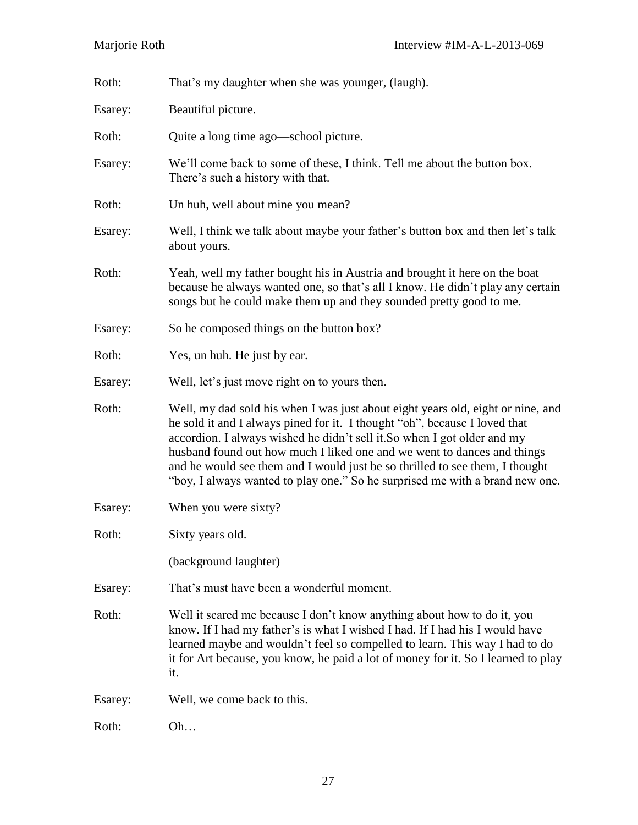| Roth:   | That's my daughter when she was younger, (laugh).                                                                                                                                                                                                                                                                                                                                                                                                                                    |
|---------|--------------------------------------------------------------------------------------------------------------------------------------------------------------------------------------------------------------------------------------------------------------------------------------------------------------------------------------------------------------------------------------------------------------------------------------------------------------------------------------|
| Esarey: | Beautiful picture.                                                                                                                                                                                                                                                                                                                                                                                                                                                                   |
| Roth:   | Quite a long time ago—school picture.                                                                                                                                                                                                                                                                                                                                                                                                                                                |
| Esarey: | We'll come back to some of these, I think. Tell me about the button box.<br>There's such a history with that.                                                                                                                                                                                                                                                                                                                                                                        |
| Roth:   | Un huh, well about mine you mean?                                                                                                                                                                                                                                                                                                                                                                                                                                                    |
| Esarey: | Well, I think we talk about maybe your father's button box and then let's talk<br>about yours.                                                                                                                                                                                                                                                                                                                                                                                       |
| Roth:   | Yeah, well my father bought his in Austria and brought it here on the boat<br>because he always wanted one, so that's all I know. He didn't play any certain<br>songs but he could make them up and they sounded pretty good to me.                                                                                                                                                                                                                                                  |
| Esarey: | So he composed things on the button box?                                                                                                                                                                                                                                                                                                                                                                                                                                             |
| Roth:   | Yes, un huh. He just by ear.                                                                                                                                                                                                                                                                                                                                                                                                                                                         |
| Esarey: | Well, let's just move right on to yours then.                                                                                                                                                                                                                                                                                                                                                                                                                                        |
| Roth:   | Well, my dad sold his when I was just about eight years old, eight or nine, and<br>he sold it and I always pined for it. I thought "oh", because I loved that<br>accordion. I always wished he didn't sell it. So when I got older and my<br>husband found out how much I liked one and we went to dances and things<br>and he would see them and I would just be so thrilled to see them, I thought<br>"boy, I always wanted to play one." So he surprised me with a brand new one. |
| Esarey: | When you were sixty?                                                                                                                                                                                                                                                                                                                                                                                                                                                                 |
| Roth:   | Sixty years old.                                                                                                                                                                                                                                                                                                                                                                                                                                                                     |
|         | (background laughter)                                                                                                                                                                                                                                                                                                                                                                                                                                                                |
| Esarey: | That's must have been a wonderful moment.                                                                                                                                                                                                                                                                                                                                                                                                                                            |
| Roth:   | Well it scared me because I don't know anything about how to do it, you<br>know. If I had my father's is what I wished I had. If I had his I would have<br>learned maybe and wouldn't feel so compelled to learn. This way I had to do<br>it for Art because, you know, he paid a lot of money for it. So I learned to play<br>it.                                                                                                                                                   |
| Esarey: | Well, we come back to this.                                                                                                                                                                                                                                                                                                                                                                                                                                                          |
| Roth:   | Oh                                                                                                                                                                                                                                                                                                                                                                                                                                                                                   |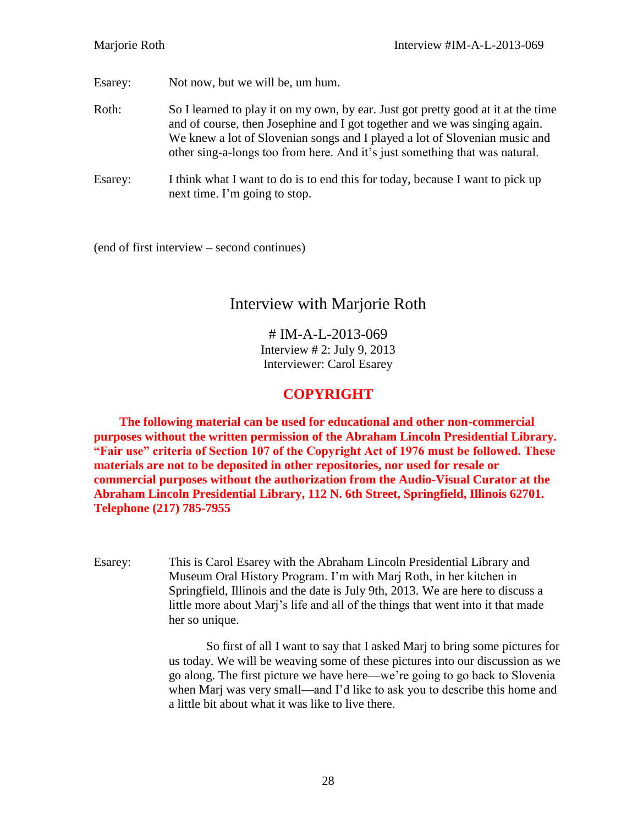Esarey: Not now, but we will be, um hum.

- Roth: So I learned to play it on my own, by ear. Just got pretty good at it at the time and of course, then Josephine and I got together and we was singing again. We knew a lot of Slovenian songs and I played a lot of Slovenian music and other sing-a-longs too from here. And it's just something that was natural.
- Esarey: I think what I want to do is to end this for today, because I want to pick up next time. I'm going to stop.

(end of first interview – second continues)

# Interview with Marjorie Roth

# IM-A-L-2013-069 Interview  $\# 2$ : July 9, 2013 Interviewer: Carol Esarey

## **COPYRIGHT**

**The following material can be used for educational and other non-commercial purposes without the written permission of the Abraham Lincoln Presidential Library. "Fair use" criteria of Section 107 of the Copyright Act of 1976 must be followed. These materials are not to be deposited in other repositories, nor used for resale or commercial purposes without the authorization from the Audio-Visual Curator at the Abraham Lincoln Presidential Library, 112 N. 6th Street, Springfield, Illinois 62701. Telephone (217) 785-7955**

Esarey: This is Carol Esarey with the Abraham Lincoln Presidential Library and Museum Oral History Program. I'm with Marj Roth, in her kitchen in Springfield, Illinois and the date is July 9th, 2013. We are here to discuss a little more about Marj's life and all of the things that went into it that made her so unique.

> So first of all I want to say that I asked Marj to bring some pictures for us today. We will be weaving some of these pictures into our discussion as we go along. The first picture we have here—we're going to go back to Slovenia when Marj was very small—and I'd like to ask you to describe this home and a little bit about what it was like to live there.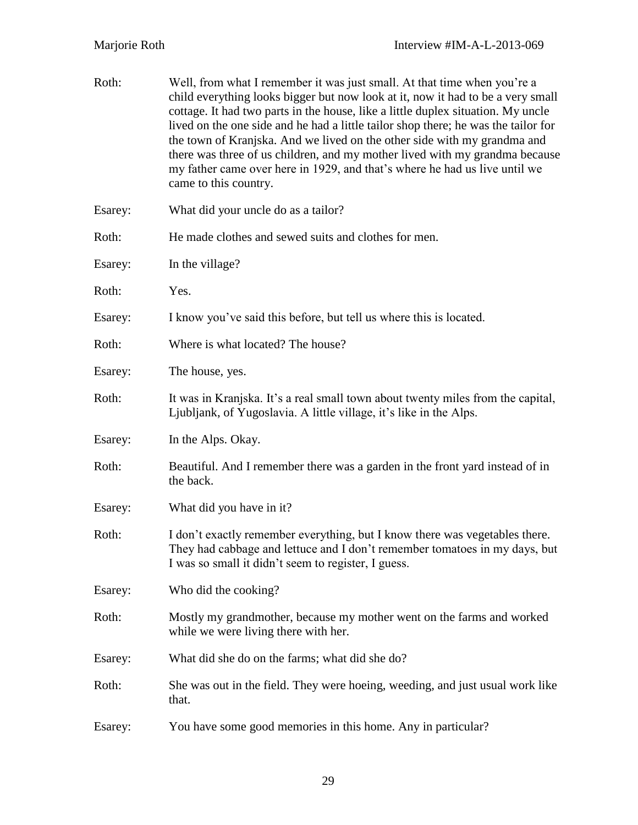| Roth:   | Well, from what I remember it was just small. At that time when you're a<br>child everything looks bigger but now look at it, now it had to be a very small<br>cottage. It had two parts in the house, like a little duplex situation. My uncle<br>lived on the one side and he had a little tailor shop there; he was the tailor for<br>the town of Kranjska. And we lived on the other side with my grandma and<br>there was three of us children, and my mother lived with my grandma because<br>my father came over here in 1929, and that's where he had us live until we<br>came to this country. |
|---------|---------------------------------------------------------------------------------------------------------------------------------------------------------------------------------------------------------------------------------------------------------------------------------------------------------------------------------------------------------------------------------------------------------------------------------------------------------------------------------------------------------------------------------------------------------------------------------------------------------|
| Esarey: | What did your uncle do as a tailor?                                                                                                                                                                                                                                                                                                                                                                                                                                                                                                                                                                     |
| Roth:   | He made clothes and sewed suits and clothes for men.                                                                                                                                                                                                                                                                                                                                                                                                                                                                                                                                                    |
| Esarey: | In the village?                                                                                                                                                                                                                                                                                                                                                                                                                                                                                                                                                                                         |
| Roth:   | Yes.                                                                                                                                                                                                                                                                                                                                                                                                                                                                                                                                                                                                    |
| Esarey: | I know you've said this before, but tell us where this is located.                                                                                                                                                                                                                                                                                                                                                                                                                                                                                                                                      |
| Roth:   | Where is what located? The house?                                                                                                                                                                                                                                                                                                                                                                                                                                                                                                                                                                       |
| Esarey: | The house, yes.                                                                                                                                                                                                                                                                                                                                                                                                                                                                                                                                                                                         |
| Roth:   | It was in Kranjska. It's a real small town about twenty miles from the capital,<br>Ljubljank, of Yugoslavia. A little village, it's like in the Alps.                                                                                                                                                                                                                                                                                                                                                                                                                                                   |
| Esarey: | In the Alps. Okay.                                                                                                                                                                                                                                                                                                                                                                                                                                                                                                                                                                                      |
| Roth:   | Beautiful. And I remember there was a garden in the front yard instead of in<br>the back.                                                                                                                                                                                                                                                                                                                                                                                                                                                                                                               |
| Esarey: | What did you have in it?                                                                                                                                                                                                                                                                                                                                                                                                                                                                                                                                                                                |
| Roth:   | I don't exactly remember everything, but I know there was vegetables there.<br>They had cabbage and lettuce and I don't remember tomatoes in my days, but<br>I was so small it didn't seem to register, I guess.                                                                                                                                                                                                                                                                                                                                                                                        |
| Esarey: | Who did the cooking?                                                                                                                                                                                                                                                                                                                                                                                                                                                                                                                                                                                    |
| Roth:   | Mostly my grandmother, because my mother went on the farms and worked<br>while we were living there with her.                                                                                                                                                                                                                                                                                                                                                                                                                                                                                           |
| Esarey: | What did she do on the farms; what did she do?                                                                                                                                                                                                                                                                                                                                                                                                                                                                                                                                                          |
| Roth:   | She was out in the field. They were hoeing, weeding, and just usual work like<br>that.                                                                                                                                                                                                                                                                                                                                                                                                                                                                                                                  |
| Esarey: | You have some good memories in this home. Any in particular?                                                                                                                                                                                                                                                                                                                                                                                                                                                                                                                                            |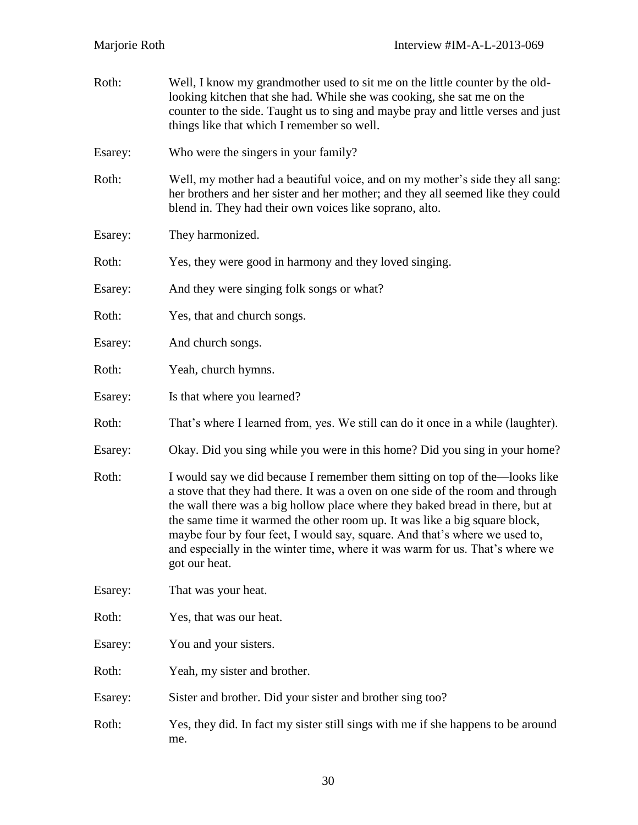| Roth:   | Well, I know my grandmother used to sit me on the little counter by the old-<br>looking kitchen that she had. While she was cooking, she sat me on the<br>counter to the side. Taught us to sing and maybe pray and little verses and just<br>things like that which I remember so well.                                                                                                                                                                                                                    |
|---------|-------------------------------------------------------------------------------------------------------------------------------------------------------------------------------------------------------------------------------------------------------------------------------------------------------------------------------------------------------------------------------------------------------------------------------------------------------------------------------------------------------------|
| Esarey: | Who were the singers in your family?                                                                                                                                                                                                                                                                                                                                                                                                                                                                        |
| Roth:   | Well, my mother had a beautiful voice, and on my mother's side they all sang:<br>her brothers and her sister and her mother; and they all seemed like they could<br>blend in. They had their own voices like soprano, alto.                                                                                                                                                                                                                                                                                 |
| Esarey: | They harmonized.                                                                                                                                                                                                                                                                                                                                                                                                                                                                                            |
| Roth:   | Yes, they were good in harmony and they loved singing.                                                                                                                                                                                                                                                                                                                                                                                                                                                      |
| Esarey: | And they were singing folk songs or what?                                                                                                                                                                                                                                                                                                                                                                                                                                                                   |
| Roth:   | Yes, that and church songs.                                                                                                                                                                                                                                                                                                                                                                                                                                                                                 |
| Esarey: | And church songs.                                                                                                                                                                                                                                                                                                                                                                                                                                                                                           |
| Roth:   | Yeah, church hymns.                                                                                                                                                                                                                                                                                                                                                                                                                                                                                         |
| Esarey: | Is that where you learned?                                                                                                                                                                                                                                                                                                                                                                                                                                                                                  |
| Roth:   | That's where I learned from, yes. We still can do it once in a while (laughter).                                                                                                                                                                                                                                                                                                                                                                                                                            |
| Esarey: | Okay. Did you sing while you were in this home? Did you sing in your home?                                                                                                                                                                                                                                                                                                                                                                                                                                  |
| Roth:   | I would say we did because I remember them sitting on top of the—looks like<br>a stove that they had there. It was a oven on one side of the room and through<br>the wall there was a big hollow place where they baked bread in there, but at<br>the same time it warmed the other room up. It was like a big square block,<br>maybe four by four feet, I would say, square. And that's where we used to,<br>and especially in the winter time, where it was warm for us. That's where we<br>got our heat. |
| Esarey: | That was your heat.                                                                                                                                                                                                                                                                                                                                                                                                                                                                                         |
| Roth:   | Yes, that was our heat.                                                                                                                                                                                                                                                                                                                                                                                                                                                                                     |
| Esarey: | You and your sisters.                                                                                                                                                                                                                                                                                                                                                                                                                                                                                       |
| Roth:   | Yeah, my sister and brother.                                                                                                                                                                                                                                                                                                                                                                                                                                                                                |
| Esarey: | Sister and brother. Did your sister and brother sing too?                                                                                                                                                                                                                                                                                                                                                                                                                                                   |
| Roth:   | Yes, they did. In fact my sister still sings with me if she happens to be around<br>me.                                                                                                                                                                                                                                                                                                                                                                                                                     |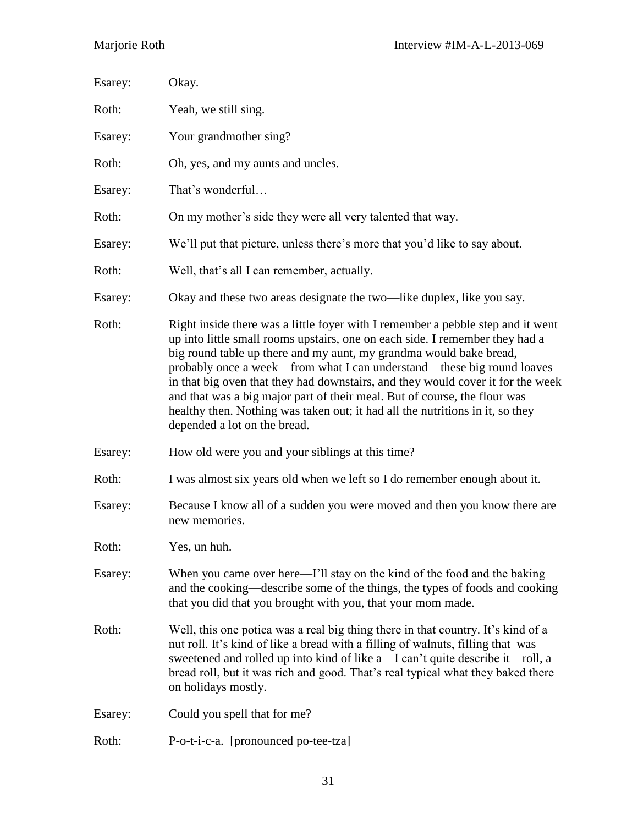| Esarey: | Okay.                                                                                                                                                                                                                                                                                                                                                                                                                                                                                                                                                                                            |
|---------|--------------------------------------------------------------------------------------------------------------------------------------------------------------------------------------------------------------------------------------------------------------------------------------------------------------------------------------------------------------------------------------------------------------------------------------------------------------------------------------------------------------------------------------------------------------------------------------------------|
| Roth:   | Yeah, we still sing.                                                                                                                                                                                                                                                                                                                                                                                                                                                                                                                                                                             |
| Esarey: | Your grandmother sing?                                                                                                                                                                                                                                                                                                                                                                                                                                                                                                                                                                           |
| Roth:   | Oh, yes, and my aunts and uncles.                                                                                                                                                                                                                                                                                                                                                                                                                                                                                                                                                                |
| Esarey: | That's wonderful                                                                                                                                                                                                                                                                                                                                                                                                                                                                                                                                                                                 |
| Roth:   | On my mother's side they were all very talented that way.                                                                                                                                                                                                                                                                                                                                                                                                                                                                                                                                        |
| Esarey: | We'll put that picture, unless there's more that you'd like to say about.                                                                                                                                                                                                                                                                                                                                                                                                                                                                                                                        |
| Roth:   | Well, that's all I can remember, actually.                                                                                                                                                                                                                                                                                                                                                                                                                                                                                                                                                       |
| Esarey: | Okay and these two areas designate the two—like duplex, like you say.                                                                                                                                                                                                                                                                                                                                                                                                                                                                                                                            |
| Roth:   | Right inside there was a little foyer with I remember a pebble step and it went<br>up into little small rooms upstairs, one on each side. I remember they had a<br>big round table up there and my aunt, my grandma would bake bread,<br>probably once a week—from what I can understand—these big round loaves<br>in that big oven that they had downstairs, and they would cover it for the week<br>and that was a big major part of their meal. But of course, the flour was<br>healthy then. Nothing was taken out; it had all the nutritions in it, so they<br>depended a lot on the bread. |
| Esarey: | How old were you and your siblings at this time?                                                                                                                                                                                                                                                                                                                                                                                                                                                                                                                                                 |
| Roth:   | I was almost six years old when we left so I do remember enough about it.                                                                                                                                                                                                                                                                                                                                                                                                                                                                                                                        |
| Esarey: | Because I know all of a sudden you were moved and then you know there are<br>new memories.                                                                                                                                                                                                                                                                                                                                                                                                                                                                                                       |
| Roth:   | Yes, un huh.                                                                                                                                                                                                                                                                                                                                                                                                                                                                                                                                                                                     |
| Esarey: | When you came over here—I'll stay on the kind of the food and the baking<br>and the cooking—describe some of the things, the types of foods and cooking<br>that you did that you brought with you, that your mom made.                                                                                                                                                                                                                                                                                                                                                                           |
| Roth:   | Well, this one potica was a real big thing there in that country. It's kind of a<br>nut roll. It's kind of like a bread with a filling of walnuts, filling that was<br>sweetened and rolled up into kind of like a—I can't quite describe it—roll, a<br>bread roll, but it was rich and good. That's real typical what they baked there<br>on holidays mostly.                                                                                                                                                                                                                                   |
| Esarey: | Could you spell that for me?                                                                                                                                                                                                                                                                                                                                                                                                                                                                                                                                                                     |
| Roth:   | P-o-t-i-c-a. [pronounced po-tee-tza]                                                                                                                                                                                                                                                                                                                                                                                                                                                                                                                                                             |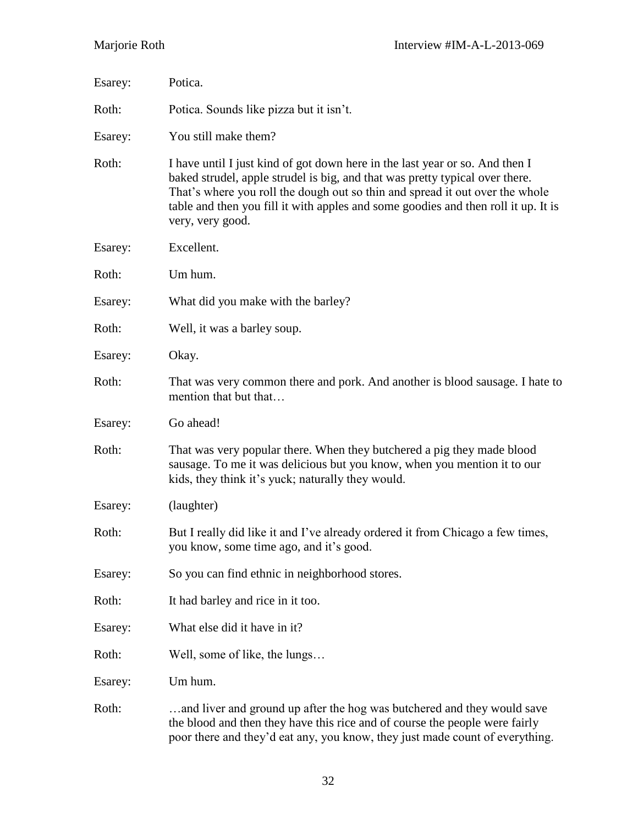| Esarey: | Potica.                                                                                                                                                                                                                                                                                                                                                |
|---------|--------------------------------------------------------------------------------------------------------------------------------------------------------------------------------------------------------------------------------------------------------------------------------------------------------------------------------------------------------|
| Roth:   | Potica. Sounds like pizza but it isn't.                                                                                                                                                                                                                                                                                                                |
| Esarey: | You still make them?                                                                                                                                                                                                                                                                                                                                   |
| Roth:   | I have until I just kind of got down here in the last year or so. And then I<br>baked strudel, apple strudel is big, and that was pretty typical over there.<br>That's where you roll the dough out so thin and spread it out over the whole<br>table and then you fill it with apples and some goodies and then roll it up. It is<br>very, very good. |
| Esarey: | Excellent.                                                                                                                                                                                                                                                                                                                                             |
| Roth:   | Um hum.                                                                                                                                                                                                                                                                                                                                                |
| Esarey: | What did you make with the barley?                                                                                                                                                                                                                                                                                                                     |
| Roth:   | Well, it was a barley soup.                                                                                                                                                                                                                                                                                                                            |
| Esarey: | Okay.                                                                                                                                                                                                                                                                                                                                                  |
| Roth:   | That was very common there and pork. And another is blood sausage. I hate to<br>mention that but that                                                                                                                                                                                                                                                  |
| Esarey: | Go ahead!                                                                                                                                                                                                                                                                                                                                              |
| Roth:   | That was very popular there. When they butchered a pig they made blood<br>sausage. To me it was delicious but you know, when you mention it to our<br>kids, they think it's yuck; naturally they would.                                                                                                                                                |
| Esarey: | (laughter)                                                                                                                                                                                                                                                                                                                                             |
| Roth:   | But I really did like it and I've already ordered it from Chicago a few times,<br>you know, some time ago, and it's good.                                                                                                                                                                                                                              |
| Esarey: | So you can find ethnic in neighborhood stores.                                                                                                                                                                                                                                                                                                         |
| Roth:   | It had barley and rice in it too.                                                                                                                                                                                                                                                                                                                      |
| Esarey: | What else did it have in it?                                                                                                                                                                                                                                                                                                                           |
| Roth:   | Well, some of like, the lungs                                                                                                                                                                                                                                                                                                                          |
| Esarey: | Um hum.                                                                                                                                                                                                                                                                                                                                                |
| Roth:   | and liver and ground up after the hog was butchered and they would save<br>the blood and then they have this rice and of course the people were fairly<br>poor there and they'd eat any, you know, they just made count of everything.                                                                                                                 |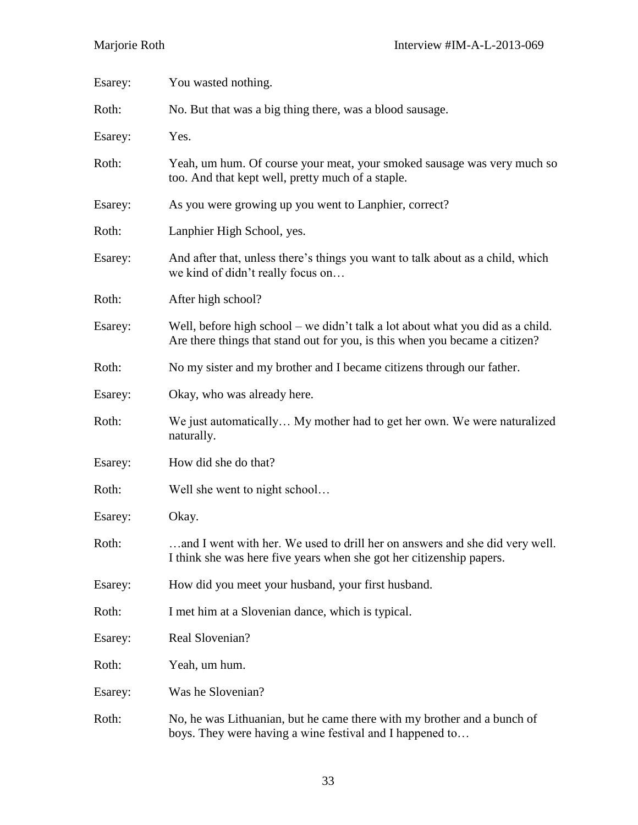| Esarey: | You wasted nothing.                                                                                                                                           |
|---------|---------------------------------------------------------------------------------------------------------------------------------------------------------------|
| Roth:   | No. But that was a big thing there, was a blood sausage.                                                                                                      |
| Esarey: | Yes.                                                                                                                                                          |
| Roth:   | Yeah, um hum. Of course your meat, your smoked sausage was very much so<br>too. And that kept well, pretty much of a staple.                                  |
| Esarey: | As you were growing up you went to Lanphier, correct?                                                                                                         |
| Roth:   | Lanphier High School, yes.                                                                                                                                    |
| Esarey: | And after that, unless there's things you want to talk about as a child, which<br>we kind of didn't really focus on                                           |
| Roth:   | After high school?                                                                                                                                            |
| Esarey: | Well, before high school – we didn't talk a lot about what you did as a child.<br>Are there things that stand out for you, is this when you became a citizen? |
| Roth:   | No my sister and my brother and I became citizens through our father.                                                                                         |
| Esarey: | Okay, who was already here.                                                                                                                                   |
| Roth:   | We just automatically My mother had to get her own. We were naturalized<br>naturally.                                                                         |
| Esarey: | How did she do that?                                                                                                                                          |
| Roth:   | Well she went to night school                                                                                                                                 |
| Esarey: | Okay.                                                                                                                                                         |
| Roth:   | and I went with her. We used to drill her on answers and she did very well.<br>I think she was here five years when she got her citizenship papers.           |
| Esarey: | How did you meet your husband, your first husband.                                                                                                            |
| Roth:   | I met him at a Slovenian dance, which is typical.                                                                                                             |
| Esarey: | Real Slovenian?                                                                                                                                               |
| Roth:   | Yeah, um hum.                                                                                                                                                 |
| Esarey: | Was he Slovenian?                                                                                                                                             |
| Roth:   | No, he was Lithuanian, but he came there with my brother and a bunch of<br>boys. They were having a wine festival and I happened to                           |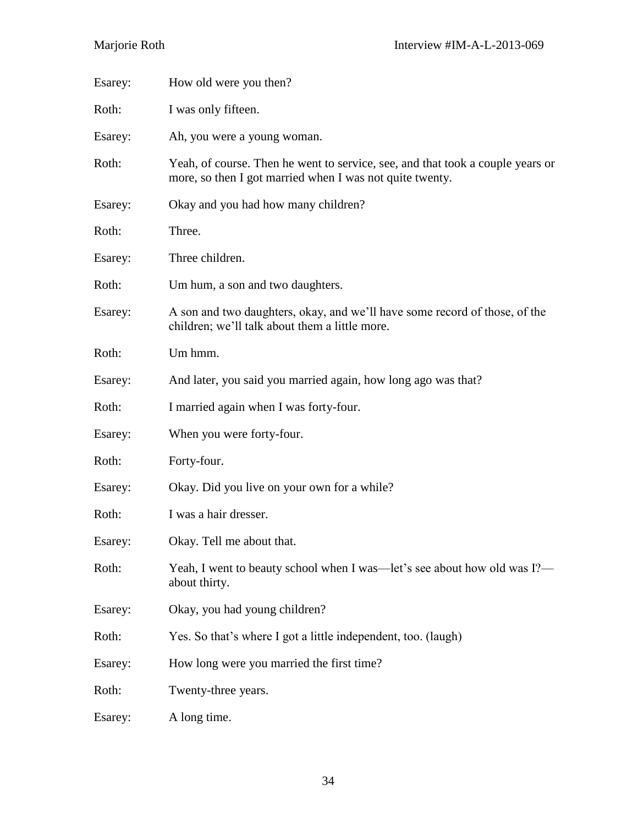| Esarey: | How old were you then?                                                                                                                     |
|---------|--------------------------------------------------------------------------------------------------------------------------------------------|
| Roth:   | I was only fifteen.                                                                                                                        |
| Esarey: | Ah, you were a young woman.                                                                                                                |
| Roth:   | Yeah, of course. Then he went to service, see, and that took a couple years or<br>more, so then I got married when I was not quite twenty. |
| Esarey: | Okay and you had how many children?                                                                                                        |
| Roth:   | Three.                                                                                                                                     |
| Esarey: | Three children.                                                                                                                            |
| Roth:   | Um hum, a son and two daughters.                                                                                                           |
| Esarey: | A son and two daughters, okay, and we'll have some record of those, of the<br>children; we'll talk about them a little more.               |
| Roth:   | Um hmm.                                                                                                                                    |
| Esarey: | And later, you said you married again, how long ago was that?                                                                              |
| Roth:   | I married again when I was forty-four.                                                                                                     |
| Esarey: | When you were forty-four.                                                                                                                  |
| Roth:   | Forty-four.                                                                                                                                |
| Esarey: | Okay. Did you live on your own for a while?                                                                                                |
| Roth:   | I was a hair dresser.                                                                                                                      |
| Esarey: | Okay. Tell me about that.                                                                                                                  |
| Roth:   | Yeah, I went to beauty school when I was—let's see about how old was I?—<br>about thirty.                                                  |
| Esarey: | Okay, you had young children?                                                                                                              |
| Roth:   | Yes. So that's where I got a little independent, too. (laugh)                                                                              |
| Esarey: | How long were you married the first time?                                                                                                  |
| Roth:   | Twenty-three years.                                                                                                                        |
| Esarey: | A long time.                                                                                                                               |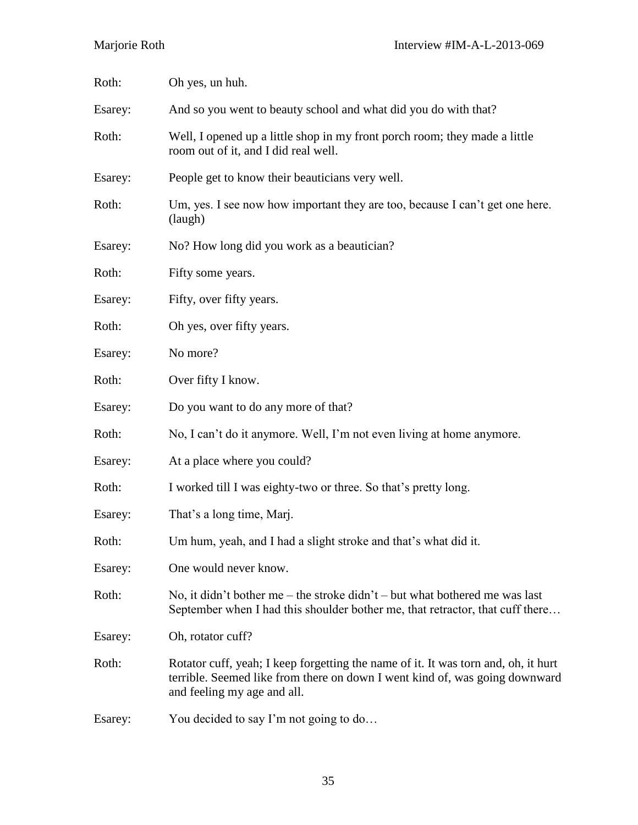| Roth:   | Oh yes, un huh.                                                                                                                                                                                  |
|---------|--------------------------------------------------------------------------------------------------------------------------------------------------------------------------------------------------|
| Esarey: | And so you went to beauty school and what did you do with that?                                                                                                                                  |
| Roth:   | Well, I opened up a little shop in my front porch room; they made a little<br>room out of it, and I did real well.                                                                               |
| Esarey: | People get to know their beauticians very well.                                                                                                                                                  |
| Roth:   | Um, yes. I see now how important they are too, because I can't get one here.<br>(laugh)                                                                                                          |
| Esarey: | No? How long did you work as a beautician?                                                                                                                                                       |
| Roth:   | Fifty some years.                                                                                                                                                                                |
| Esarey: | Fifty, over fifty years.                                                                                                                                                                         |
| Roth:   | Oh yes, over fifty years.                                                                                                                                                                        |
| Esarey: | No more?                                                                                                                                                                                         |
| Roth:   | Over fifty I know.                                                                                                                                                                               |
| Esarey: | Do you want to do any more of that?                                                                                                                                                              |
| Roth:   | No, I can't do it anymore. Well, I'm not even living at home anymore.                                                                                                                            |
| Esarey: | At a place where you could?                                                                                                                                                                      |
| Roth:   | I worked till I was eighty-two or three. So that's pretty long.                                                                                                                                  |
| Esarey: | That's a long time, Marj.                                                                                                                                                                        |
| Roth:   | Um hum, yeah, and I had a slight stroke and that's what did it.                                                                                                                                  |
| Esarey: | One would never know.                                                                                                                                                                            |
| Roth:   | No, it didn't bother me – the stroke didn't – but what bothered me was last<br>September when I had this shoulder bother me, that retractor, that cuff there                                     |
| Esarey: | Oh, rotator cuff?                                                                                                                                                                                |
| Roth:   | Rotator cuff, yeah; I keep forgetting the name of it. It was torn and, oh, it hurt<br>terrible. Seemed like from there on down I went kind of, was going downward<br>and feeling my age and all. |
| Esarey: | You decided to say I'm not going to do                                                                                                                                                           |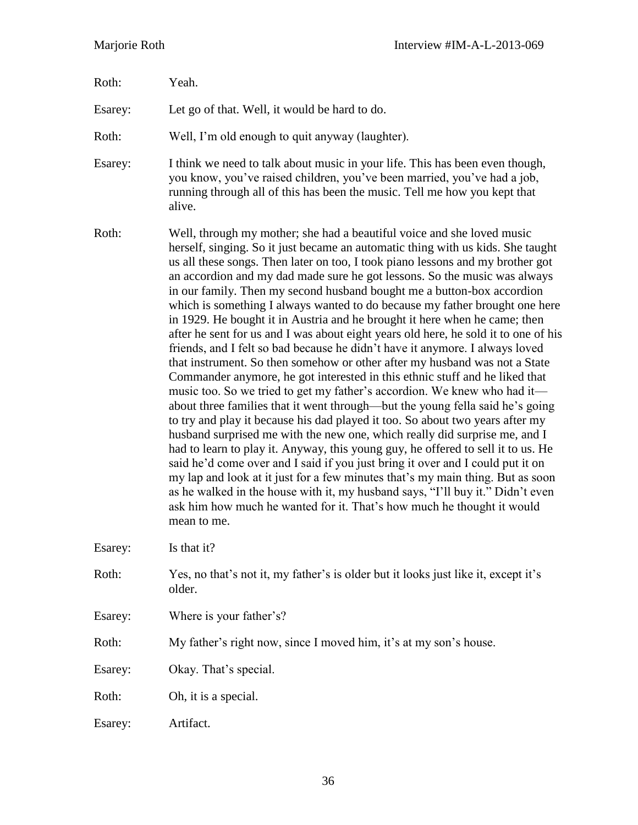| Roth:   | Yeah.                                                                                                                                                                                                                                                                                                                                                                                                                                                                                                                                                                                                                                                                                                                                                                                                                                                                                                                                                                                                                                                                                                                                                                                                                                                                                                                                                                                                                                                                                                                                                                                                                                                              |
|---------|--------------------------------------------------------------------------------------------------------------------------------------------------------------------------------------------------------------------------------------------------------------------------------------------------------------------------------------------------------------------------------------------------------------------------------------------------------------------------------------------------------------------------------------------------------------------------------------------------------------------------------------------------------------------------------------------------------------------------------------------------------------------------------------------------------------------------------------------------------------------------------------------------------------------------------------------------------------------------------------------------------------------------------------------------------------------------------------------------------------------------------------------------------------------------------------------------------------------------------------------------------------------------------------------------------------------------------------------------------------------------------------------------------------------------------------------------------------------------------------------------------------------------------------------------------------------------------------------------------------------------------------------------------------------|
| Esarey: | Let go of that. Well, it would be hard to do.                                                                                                                                                                                                                                                                                                                                                                                                                                                                                                                                                                                                                                                                                                                                                                                                                                                                                                                                                                                                                                                                                                                                                                                                                                                                                                                                                                                                                                                                                                                                                                                                                      |
| Roth:   | Well, I'm old enough to quit anyway (laughter).                                                                                                                                                                                                                                                                                                                                                                                                                                                                                                                                                                                                                                                                                                                                                                                                                                                                                                                                                                                                                                                                                                                                                                                                                                                                                                                                                                                                                                                                                                                                                                                                                    |
| Esarey: | I think we need to talk about music in your life. This has been even though,<br>you know, you've raised children, you've been married, you've had a job,<br>running through all of this has been the music. Tell me how you kept that<br>alive.                                                                                                                                                                                                                                                                                                                                                                                                                                                                                                                                                                                                                                                                                                                                                                                                                                                                                                                                                                                                                                                                                                                                                                                                                                                                                                                                                                                                                    |
| Roth:   | Well, through my mother; she had a beautiful voice and she loved music<br>herself, singing. So it just became an automatic thing with us kids. She taught<br>us all these songs. Then later on too, I took piano lessons and my brother got<br>an accordion and my dad made sure he got lessons. So the music was always<br>in our family. Then my second husband bought me a button-box accordion<br>which is something I always wanted to do because my father brought one here<br>in 1929. He bought it in Austria and he brought it here when he came; then<br>after he sent for us and I was about eight years old here, he sold it to one of his<br>friends, and I felt so bad because he didn't have it anymore. I always loved<br>that instrument. So then somehow or other after my husband was not a State<br>Commander anymore, he got interested in this ethnic stuff and he liked that<br>music too. So we tried to get my father's accordion. We knew who had it—<br>about three families that it went through—but the young fella said he's going<br>to try and play it because his dad played it too. So about two years after my<br>husband surprised me with the new one, which really did surprise me, and I<br>had to learn to play it. Anyway, this young guy, he offered to sell it to us. He<br>said he'd come over and I said if you just bring it over and I could put it on<br>my lap and look at it just for a few minutes that's my main thing. But as soon<br>as he walked in the house with it, my husband says, "I'll buy it." Didn't even<br>ask him how much he wanted for it. That's how much he thought it would<br>mean to me. |
| Esarey: | Is that it?                                                                                                                                                                                                                                                                                                                                                                                                                                                                                                                                                                                                                                                                                                                                                                                                                                                                                                                                                                                                                                                                                                                                                                                                                                                                                                                                                                                                                                                                                                                                                                                                                                                        |
| Roth:   | Yes, no that's not it, my father's is older but it looks just like it, except it's<br>older.                                                                                                                                                                                                                                                                                                                                                                                                                                                                                                                                                                                                                                                                                                                                                                                                                                                                                                                                                                                                                                                                                                                                                                                                                                                                                                                                                                                                                                                                                                                                                                       |
| Esarey: | Where is your father's?                                                                                                                                                                                                                                                                                                                                                                                                                                                                                                                                                                                                                                                                                                                                                                                                                                                                                                                                                                                                                                                                                                                                                                                                                                                                                                                                                                                                                                                                                                                                                                                                                                            |
| Roth:   | My father's right now, since I moved him, it's at my son's house.                                                                                                                                                                                                                                                                                                                                                                                                                                                                                                                                                                                                                                                                                                                                                                                                                                                                                                                                                                                                                                                                                                                                                                                                                                                                                                                                                                                                                                                                                                                                                                                                  |
| Esarey: | Okay. That's special.                                                                                                                                                                                                                                                                                                                                                                                                                                                                                                                                                                                                                                                                                                                                                                                                                                                                                                                                                                                                                                                                                                                                                                                                                                                                                                                                                                                                                                                                                                                                                                                                                                              |
| Roth:   | Oh, it is a special.                                                                                                                                                                                                                                                                                                                                                                                                                                                                                                                                                                                                                                                                                                                                                                                                                                                                                                                                                                                                                                                                                                                                                                                                                                                                                                                                                                                                                                                                                                                                                                                                                                               |
| Esarey: | Artifact.                                                                                                                                                                                                                                                                                                                                                                                                                                                                                                                                                                                                                                                                                                                                                                                                                                                                                                                                                                                                                                                                                                                                                                                                                                                                                                                                                                                                                                                                                                                                                                                                                                                          |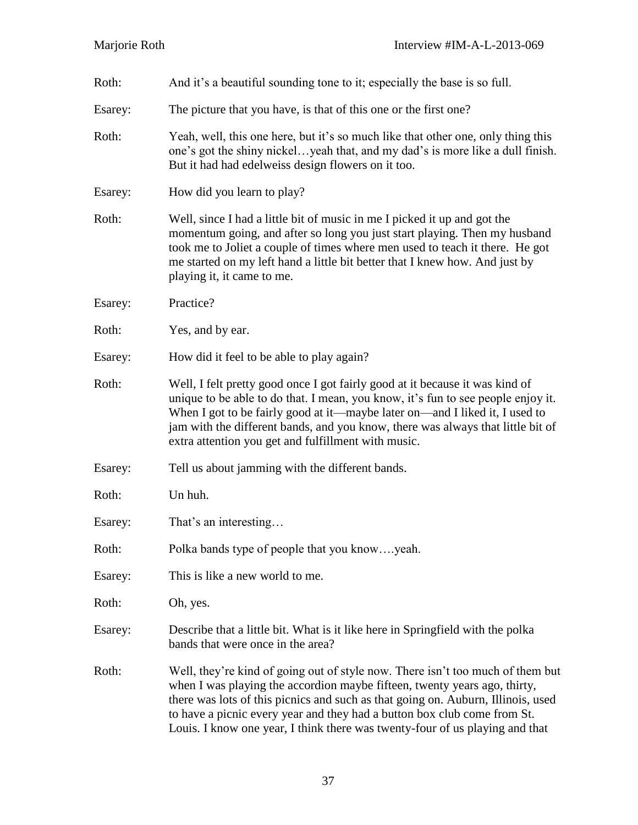| Roth:   | And it's a beautiful sounding tone to it; especially the base is so full.                                                                                                                                                                                                                                                                                                                                   |
|---------|-------------------------------------------------------------------------------------------------------------------------------------------------------------------------------------------------------------------------------------------------------------------------------------------------------------------------------------------------------------------------------------------------------------|
| Esarey: | The picture that you have, is that of this one or the first one?                                                                                                                                                                                                                                                                                                                                            |
| Roth:   | Yeah, well, this one here, but it's so much like that other one, only thing this<br>one's got the shiny nickelyeah that, and my dad's is more like a dull finish.<br>But it had had edelweiss design flowers on it too.                                                                                                                                                                                     |
| Esarey: | How did you learn to play?                                                                                                                                                                                                                                                                                                                                                                                  |
| Roth:   | Well, since I had a little bit of music in me I picked it up and got the<br>momentum going, and after so long you just start playing. Then my husband<br>took me to Joliet a couple of times where men used to teach it there. He got<br>me started on my left hand a little bit better that I knew how. And just by<br>playing it, it came to me.                                                          |
| Esarey: | Practice?                                                                                                                                                                                                                                                                                                                                                                                                   |
| Roth:   | Yes, and by ear.                                                                                                                                                                                                                                                                                                                                                                                            |
| Esarey: | How did it feel to be able to play again?                                                                                                                                                                                                                                                                                                                                                                   |
| Roth:   | Well, I felt pretty good once I got fairly good at it because it was kind of<br>unique to be able to do that. I mean, you know, it's fun to see people enjoy it.<br>When I got to be fairly good at it—maybe later on—and I liked it, I used to<br>jam with the different bands, and you know, there was always that little bit of<br>extra attention you get and fulfillment with music.                   |
| Esarey: | Tell us about jamming with the different bands.                                                                                                                                                                                                                                                                                                                                                             |
| Roth:   | Un huh.                                                                                                                                                                                                                                                                                                                                                                                                     |
| Esarey: | That's an interesting                                                                                                                                                                                                                                                                                                                                                                                       |
| Roth:   | Polka bands type of people that you knowyeah.                                                                                                                                                                                                                                                                                                                                                               |
| Esarey: | This is like a new world to me.                                                                                                                                                                                                                                                                                                                                                                             |
| Roth:   | Oh, yes.                                                                                                                                                                                                                                                                                                                                                                                                    |
| Esarey: | Describe that a little bit. What is it like here in Springfield with the polka<br>bands that were once in the area?                                                                                                                                                                                                                                                                                         |
| Roth:   | Well, they're kind of going out of style now. There isn't too much of them but<br>when I was playing the accordion maybe fifteen, twenty years ago, thirty,<br>there was lots of this picnics and such as that going on. Auburn, Illinois, used<br>to have a picnic every year and they had a button box club come from St.<br>Louis. I know one year, I think there was twenty-four of us playing and that |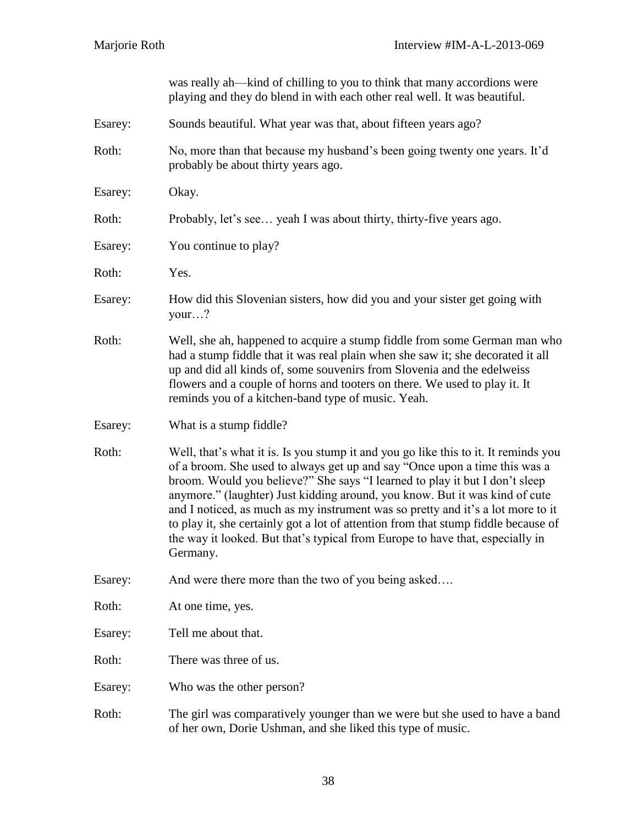|         | was really ah—kind of chilling to you to think that many accordions were<br>playing and they do blend in with each other real well. It was beautiful.                                                                                                                                                                                                                                                                                                                                                                                                                                                 |
|---------|-------------------------------------------------------------------------------------------------------------------------------------------------------------------------------------------------------------------------------------------------------------------------------------------------------------------------------------------------------------------------------------------------------------------------------------------------------------------------------------------------------------------------------------------------------------------------------------------------------|
| Esarey: | Sounds beautiful. What year was that, about fifteen years ago?                                                                                                                                                                                                                                                                                                                                                                                                                                                                                                                                        |
| Roth:   | No, more than that because my husband's been going twenty one years. It'd<br>probably be about thirty years ago.                                                                                                                                                                                                                                                                                                                                                                                                                                                                                      |
| Esarey: | Okay.                                                                                                                                                                                                                                                                                                                                                                                                                                                                                                                                                                                                 |
| Roth:   | Probably, let's see yeah I was about thirty, thirty-five years ago.                                                                                                                                                                                                                                                                                                                                                                                                                                                                                                                                   |
| Esarey: | You continue to play?                                                                                                                                                                                                                                                                                                                                                                                                                                                                                                                                                                                 |
| Roth:   | Yes.                                                                                                                                                                                                                                                                                                                                                                                                                                                                                                                                                                                                  |
| Esarey: | How did this Slovenian sisters, how did you and your sister get going with<br>your?                                                                                                                                                                                                                                                                                                                                                                                                                                                                                                                   |
| Roth:   | Well, she ah, happened to acquire a stump fiddle from some German man who<br>had a stump fiddle that it was real plain when she saw it; she decorated it all<br>up and did all kinds of, some souvenirs from Slovenia and the edelweiss<br>flowers and a couple of horns and tooters on there. We used to play it. It<br>reminds you of a kitchen-band type of music. Yeah.                                                                                                                                                                                                                           |
| Esarey: | What is a stump fiddle?                                                                                                                                                                                                                                                                                                                                                                                                                                                                                                                                                                               |
| Roth:   | Well, that's what it is. Is you stump it and you go like this to it. It reminds you<br>of a broom. She used to always get up and say "Once upon a time this was a<br>broom. Would you believe?" She says "I learned to play it but I don't sleep<br>anymore." (laughter) Just kidding around, you know. But it was kind of cute<br>and I noticed, as much as my instrument was so pretty and it's a lot more to it<br>to play it, she certainly got a lot of attention from that stump fiddle because of<br>the way it looked. But that's typical from Europe to have that, especially in<br>Germany. |
| Esarey: | And were there more than the two of you being asked                                                                                                                                                                                                                                                                                                                                                                                                                                                                                                                                                   |
| Roth:   | At one time, yes.                                                                                                                                                                                                                                                                                                                                                                                                                                                                                                                                                                                     |
| Esarey: | Tell me about that.                                                                                                                                                                                                                                                                                                                                                                                                                                                                                                                                                                                   |
| Roth:   | There was three of us.                                                                                                                                                                                                                                                                                                                                                                                                                                                                                                                                                                                |
| Esarey: | Who was the other person?                                                                                                                                                                                                                                                                                                                                                                                                                                                                                                                                                                             |
| Roth:   | The girl was comparatively younger than we were but she used to have a band<br>of her own, Dorie Ushman, and she liked this type of music.                                                                                                                                                                                                                                                                                                                                                                                                                                                            |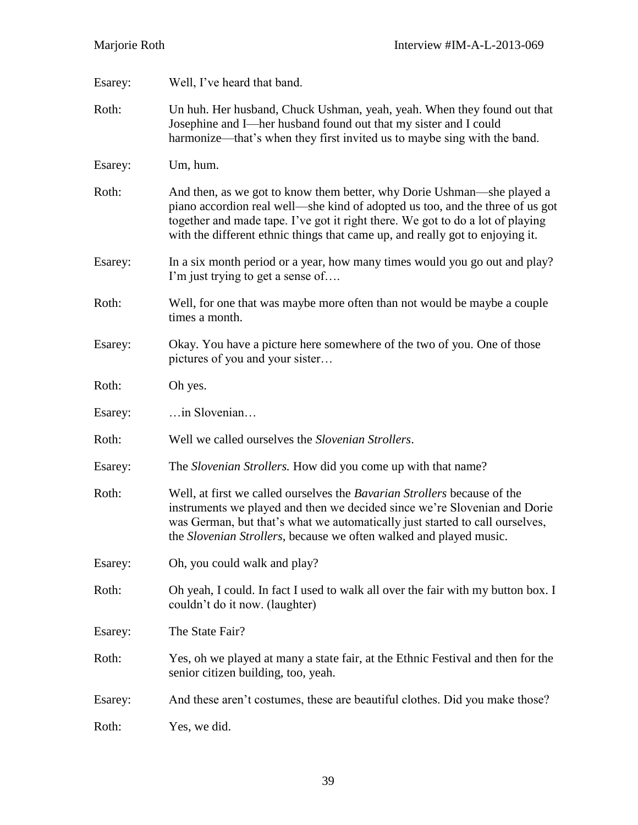| Esarey: | Well, I've heard that band.                                                                                                                                                                                                                                                                                                |
|---------|----------------------------------------------------------------------------------------------------------------------------------------------------------------------------------------------------------------------------------------------------------------------------------------------------------------------------|
| Roth:   | Un huh. Her husband, Chuck Ushman, yeah, yeah. When they found out that<br>Josephine and I—her husband found out that my sister and I could<br>harmonize—that's when they first invited us to maybe sing with the band.                                                                                                    |
| Esarey: | Um, hum.                                                                                                                                                                                                                                                                                                                   |
| Roth:   | And then, as we got to know them better, why Dorie Ushman—she played a<br>piano accordion real well—she kind of adopted us too, and the three of us got<br>together and made tape. I've got it right there. We got to do a lot of playing<br>with the different ethnic things that came up, and really got to enjoying it. |
| Esarey: | In a six month period or a year, how many times would you go out and play?<br>I'm just trying to get a sense of                                                                                                                                                                                                            |
| Roth:   | Well, for one that was maybe more often than not would be maybe a couple<br>times a month.                                                                                                                                                                                                                                 |
| Esarey: | Okay. You have a picture here somewhere of the two of you. One of those<br>pictures of you and your sister                                                                                                                                                                                                                 |
| Roth:   | Oh yes.                                                                                                                                                                                                                                                                                                                    |
| Esarey: | in Slovenian                                                                                                                                                                                                                                                                                                               |
| Roth:   | Well we called ourselves the <i>Slovenian Strollers</i> .                                                                                                                                                                                                                                                                  |
| Esarey: | The Slovenian Strollers. How did you come up with that name?                                                                                                                                                                                                                                                               |
| Roth:   | Well, at first we called ourselves the <i>Bavarian Strollers</i> because of the<br>instruments we played and then we decided since we're Slovenian and Dorie<br>was German, but that's what we automatically just started to call ourselves,<br>the Slovenian Strollers, because we often walked and played music.         |
| Esarey: | Oh, you could walk and play?                                                                                                                                                                                                                                                                                               |
| Roth:   | Oh yeah, I could. In fact I used to walk all over the fair with my button box. I<br>couldn't do it now. (laughter)                                                                                                                                                                                                         |
| Esarey: | The State Fair?                                                                                                                                                                                                                                                                                                            |
| Roth:   | Yes, oh we played at many a state fair, at the Ethnic Festival and then for the<br>senior citizen building, too, yeah.                                                                                                                                                                                                     |
| Esarey: | And these aren't costumes, these are beautiful clothes. Did you make those?                                                                                                                                                                                                                                                |
| Roth:   | Yes, we did.                                                                                                                                                                                                                                                                                                               |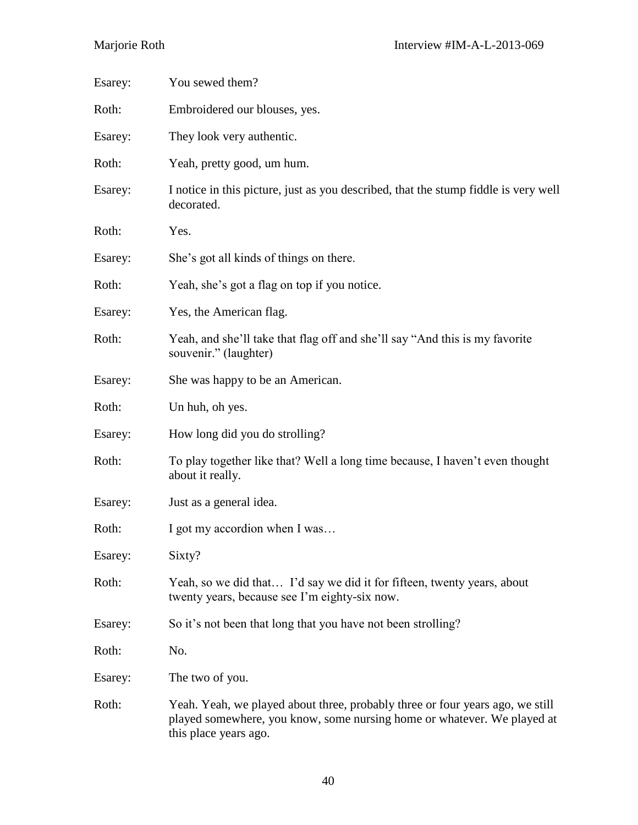| Esarey: | You sewed them?                                                                                                                                                                   |
|---------|-----------------------------------------------------------------------------------------------------------------------------------------------------------------------------------|
| Roth:   | Embroidered our blouses, yes.                                                                                                                                                     |
| Esarey: | They look very authentic.                                                                                                                                                         |
| Roth:   | Yeah, pretty good, um hum.                                                                                                                                                        |
| Esarey: | I notice in this picture, just as you described, that the stump fiddle is very well<br>decorated.                                                                                 |
| Roth:   | Yes.                                                                                                                                                                              |
| Esarey: | She's got all kinds of things on there.                                                                                                                                           |
| Roth:   | Yeah, she's got a flag on top if you notice.                                                                                                                                      |
| Esarey: | Yes, the American flag.                                                                                                                                                           |
| Roth:   | Yeah, and she'll take that flag off and she'll say "And this is my favorite<br>souvenir." (laughter)                                                                              |
| Esarey: | She was happy to be an American.                                                                                                                                                  |
| Roth:   | Un huh, oh yes.                                                                                                                                                                   |
| Esarey: | How long did you do strolling?                                                                                                                                                    |
| Roth:   | To play together like that? Well a long time because, I haven't even thought<br>about it really.                                                                                  |
| Esarey: | Just as a general idea.                                                                                                                                                           |
| Roth:   | I got my accordion when I was                                                                                                                                                     |
| Esarey: | Sixty?                                                                                                                                                                            |
| Roth:   | Yeah, so we did that I'd say we did it for fifteen, twenty years, about<br>twenty years, because see I'm eighty-six now.                                                          |
| Esarey: | So it's not been that long that you have not been strolling?                                                                                                                      |
| Roth:   | No.                                                                                                                                                                               |
| Esarey: | The two of you.                                                                                                                                                                   |
| Roth:   | Yeah. Yeah, we played about three, probably three or four years ago, we still<br>played somewhere, you know, some nursing home or whatever. We played at<br>this place years ago. |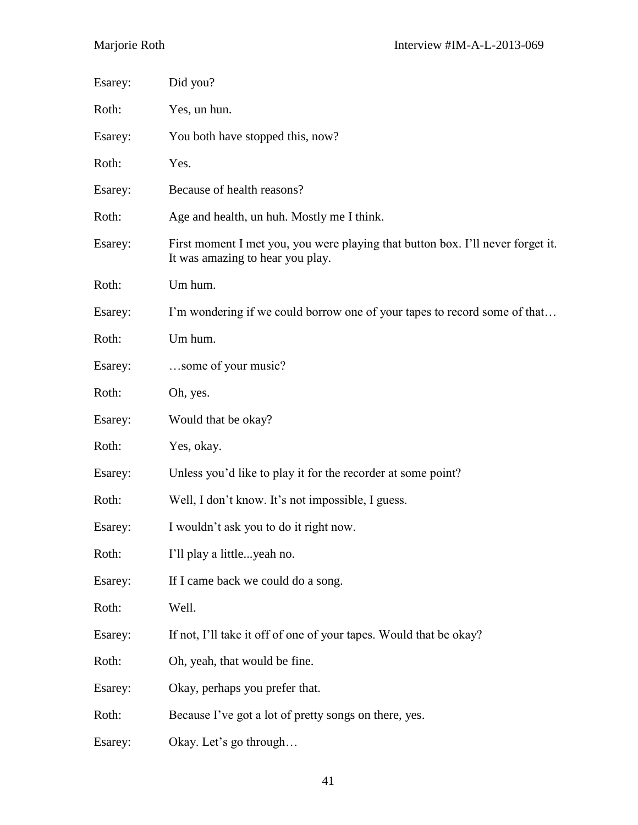| Esarey: | Did you?                                                                                                            |
|---------|---------------------------------------------------------------------------------------------------------------------|
| Roth:   | Yes, un hun.                                                                                                        |
| Esarey: | You both have stopped this, now?                                                                                    |
| Roth:   | Yes.                                                                                                                |
| Esarey: | Because of health reasons?                                                                                          |
| Roth:   | Age and health, un huh. Mostly me I think.                                                                          |
| Esarey: | First moment I met you, you were playing that button box. I'll never forget it.<br>It was amazing to hear you play. |
| Roth:   | Um hum.                                                                                                             |
| Esarey: | I'm wondering if we could borrow one of your tapes to record some of that                                           |
| Roth:   | Um hum.                                                                                                             |
| Esarey: | some of your music?                                                                                                 |
| Roth:   | Oh, yes.                                                                                                            |
| Esarey: | Would that be okay?                                                                                                 |
| Roth:   | Yes, okay.                                                                                                          |
| Esarey: | Unless you'd like to play it for the recorder at some point?                                                        |
| Roth:   | Well, I don't know. It's not impossible, I guess.                                                                   |
| Esarey: | I wouldn't ask you to do it right now.                                                                              |
| Roth:   | I'll play a littleyeah no.                                                                                          |
| Esarey: | If I came back we could do a song.                                                                                  |
| Roth:   | Well.                                                                                                               |
| Esarey: | If not, I'll take it off of one of your tapes. Would that be okay?                                                  |
| Roth:   | Oh, yeah, that would be fine.                                                                                       |
| Esarey: | Okay, perhaps you prefer that.                                                                                      |
| Roth:   | Because I've got a lot of pretty songs on there, yes.                                                               |
| Esarey: | Okay. Let's go through                                                                                              |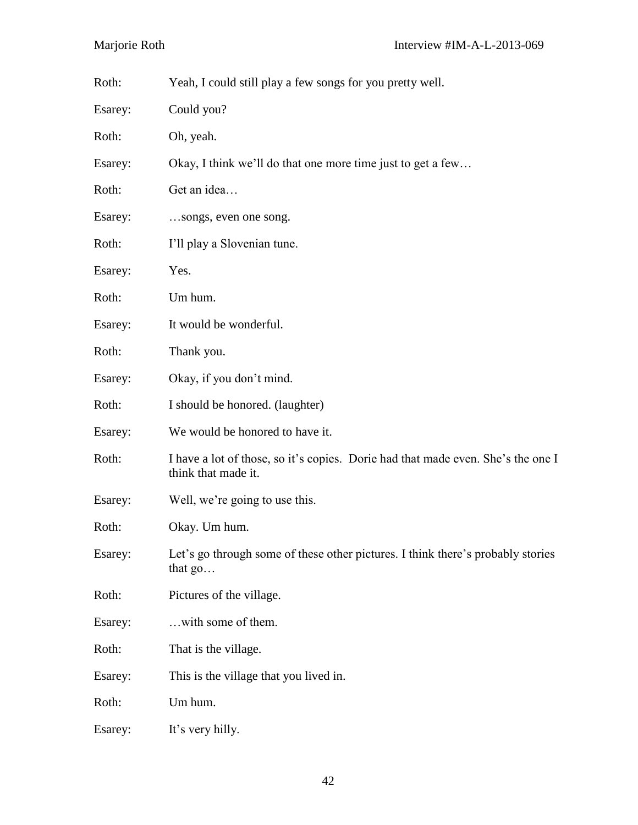| Roth:   | Yeah, I could still play a few songs for you pretty well.                                               |
|---------|---------------------------------------------------------------------------------------------------------|
| Esarey: | Could you?                                                                                              |
| Roth:   | Oh, yeah.                                                                                               |
| Esarey: | Okay, I think we'll do that one more time just to get a few                                             |
| Roth:   | Get an idea                                                                                             |
| Esarey: | songs, even one song.                                                                                   |
| Roth:   | I'll play a Slovenian tune.                                                                             |
| Esarey: | Yes.                                                                                                    |
| Roth:   | Um hum.                                                                                                 |
| Esarey: | It would be wonderful.                                                                                  |
| Roth:   | Thank you.                                                                                              |
| Esarey: | Okay, if you don't mind.                                                                                |
| Roth:   | I should be honored. (laughter)                                                                         |
| Esarey: | We would be honored to have it.                                                                         |
| Roth:   | I have a lot of those, so it's copies. Dorie had that made even. She's the one I<br>think that made it. |
| Esarey: | Well, we're going to use this.                                                                          |
| Roth:   | Okay. Um hum.                                                                                           |
| Esarey: | Let's go through some of these other pictures. I think there's probably stories<br>that $go$            |
| Roth:   | Pictures of the village.                                                                                |
| Esarey: | with some of them.                                                                                      |
| Roth:   | That is the village.                                                                                    |
| Esarey: | This is the village that you lived in.                                                                  |
| Roth:   | Um hum.                                                                                                 |
| Esarey: | It's very hilly.                                                                                        |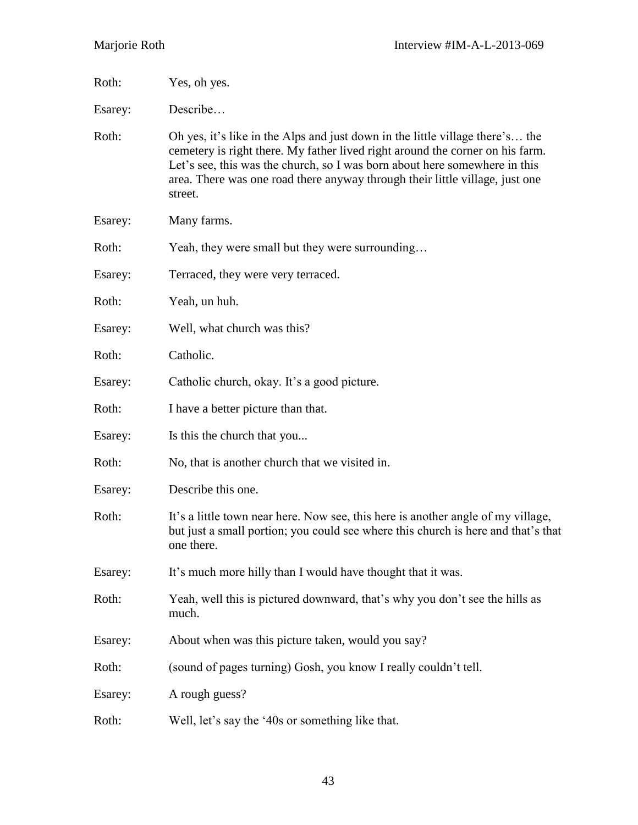| Roth:   | Yes, oh yes.                                                                                                                                                                                                                                                                                                                            |
|---------|-----------------------------------------------------------------------------------------------------------------------------------------------------------------------------------------------------------------------------------------------------------------------------------------------------------------------------------------|
| Esarey: | Describe                                                                                                                                                                                                                                                                                                                                |
| Roth:   | Oh yes, it's like in the Alps and just down in the little village there's the<br>cemetery is right there. My father lived right around the corner on his farm.<br>Let's see, this was the church, so I was born about here somewhere in this<br>area. There was one road there anyway through their little village, just one<br>street. |
| Esarey: | Many farms.                                                                                                                                                                                                                                                                                                                             |
| Roth:   | Yeah, they were small but they were surrounding                                                                                                                                                                                                                                                                                         |
| Esarey: | Terraced, they were very terraced.                                                                                                                                                                                                                                                                                                      |
| Roth:   | Yeah, un huh.                                                                                                                                                                                                                                                                                                                           |
| Esarey: | Well, what church was this?                                                                                                                                                                                                                                                                                                             |
| Roth:   | Catholic.                                                                                                                                                                                                                                                                                                                               |
| Esarey: | Catholic church, okay. It's a good picture.                                                                                                                                                                                                                                                                                             |
| Roth:   | I have a better picture than that.                                                                                                                                                                                                                                                                                                      |
| Esarey: | Is this the church that you                                                                                                                                                                                                                                                                                                             |
| Roth:   | No, that is another church that we visited in.                                                                                                                                                                                                                                                                                          |
| Esarey: | Describe this one.                                                                                                                                                                                                                                                                                                                      |
| Roth:   | It's a little town near here. Now see, this here is another angle of my village,<br>but just a small portion; you could see where this church is here and that's that<br>one there.                                                                                                                                                     |
| Esarey: | It's much more hilly than I would have thought that it was.                                                                                                                                                                                                                                                                             |
| Roth:   | Yeah, well this is pictured downward, that's why you don't see the hills as<br>much.                                                                                                                                                                                                                                                    |
| Esarey: | About when was this picture taken, would you say?                                                                                                                                                                                                                                                                                       |
| Roth:   | (sound of pages turning) Gosh, you know I really couldn't tell.                                                                                                                                                                                                                                                                         |
| Esarey: | A rough guess?                                                                                                                                                                                                                                                                                                                          |
| Roth:   | Well, let's say the '40s or something like that.                                                                                                                                                                                                                                                                                        |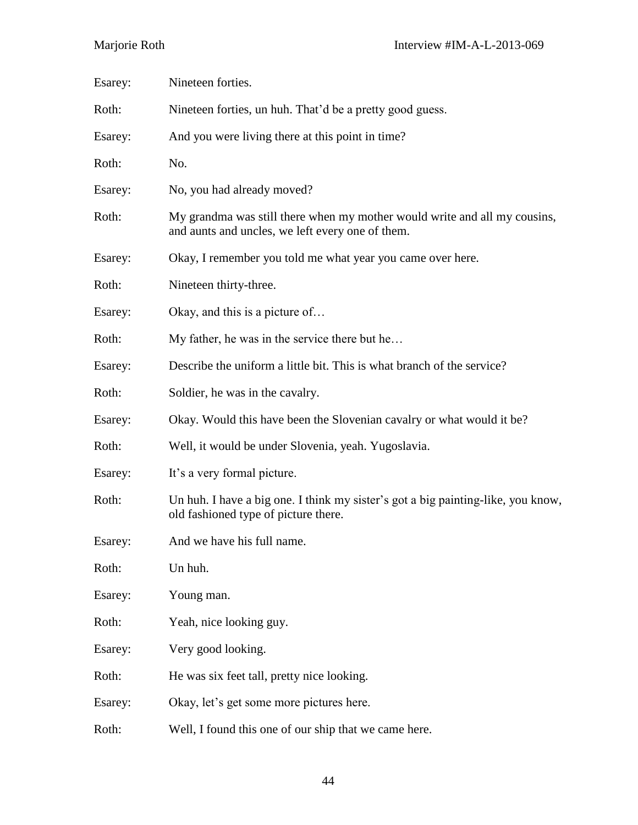| Esarey: | Nineteen forties.                                                                                                             |
|---------|-------------------------------------------------------------------------------------------------------------------------------|
| Roth:   | Nineteen forties, un huh. That'd be a pretty good guess.                                                                      |
| Esarey: | And you were living there at this point in time?                                                                              |
| Roth:   | No.                                                                                                                           |
| Esarey: | No, you had already moved?                                                                                                    |
| Roth:   | My grandma was still there when my mother would write and all my cousins,<br>and aunts and uncles, we left every one of them. |
| Esarey: | Okay, I remember you told me what year you came over here.                                                                    |
| Roth:   | Nineteen thirty-three.                                                                                                        |
| Esarey: | Okay, and this is a picture of                                                                                                |
| Roth:   | My father, he was in the service there but he                                                                                 |
| Esarey: | Describe the uniform a little bit. This is what branch of the service?                                                        |
| Roth:   | Soldier, he was in the cavalry.                                                                                               |
| Esarey: | Okay. Would this have been the Slovenian cavalry or what would it be?                                                         |
| Roth:   | Well, it would be under Slovenia, yeah. Yugoslavia.                                                                           |
| Esarey: | It's a very formal picture.                                                                                                   |
| Roth:   | Un huh. I have a big one. I think my sister's got a big painting-like, you know,<br>old fashioned type of picture there.      |
| Esarey: | And we have his full name.                                                                                                    |
| Roth:   | Un huh.                                                                                                                       |
| Esarey: | Young man.                                                                                                                    |
| Roth:   | Yeah, nice looking guy.                                                                                                       |
| Esarey: | Very good looking.                                                                                                            |
| Roth:   | He was six feet tall, pretty nice looking.                                                                                    |
| Esarey: | Okay, let's get some more pictures here.                                                                                      |
| Roth:   | Well, I found this one of our ship that we came here.                                                                         |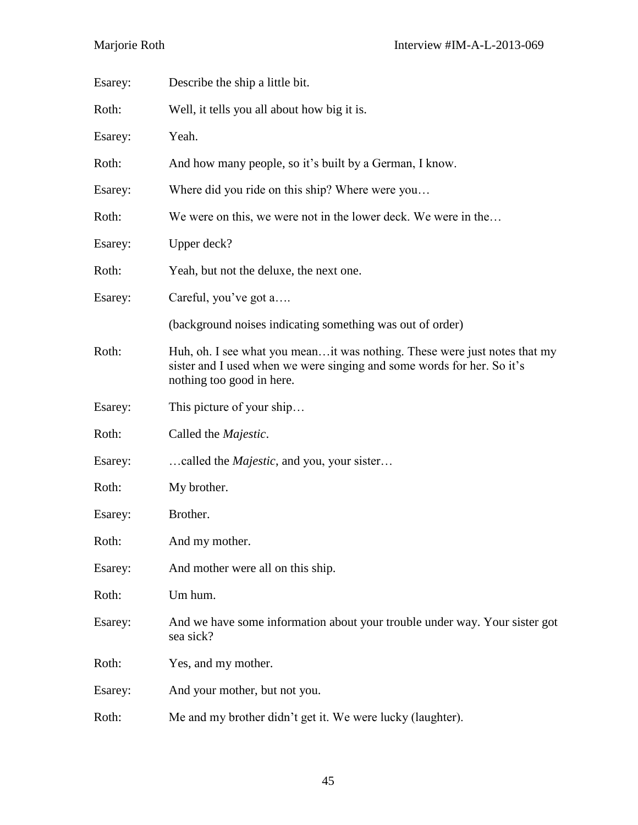| Esarey: | Describe the ship a little bit.                                                                                                                                                  |
|---------|----------------------------------------------------------------------------------------------------------------------------------------------------------------------------------|
| Roth:   | Well, it tells you all about how big it is.                                                                                                                                      |
| Esarey: | Yeah.                                                                                                                                                                            |
| Roth:   | And how many people, so it's built by a German, I know.                                                                                                                          |
| Esarey: | Where did you ride on this ship? Where were you                                                                                                                                  |
| Roth:   | We were on this, we were not in the lower deck. We were in the                                                                                                                   |
| Esarey: | Upper deck?                                                                                                                                                                      |
| Roth:   | Yeah, but not the deluxe, the next one.                                                                                                                                          |
| Esarey: | Careful, you've got a                                                                                                                                                            |
|         | (background noises indicating something was out of order)                                                                                                                        |
| Roth:   | Huh, oh. I see what you meanit was nothing. These were just notes that my<br>sister and I used when we were singing and some words for her. So it's<br>nothing too good in here. |
| Esarey: | This picture of your ship                                                                                                                                                        |
| Roth:   | Called the <i>Majestic</i> .                                                                                                                                                     |
| Esarey: | called the <i>Majestic</i> , and you, your sister                                                                                                                                |
| Roth:   | My brother.                                                                                                                                                                      |
| Esarey: | Brother.                                                                                                                                                                         |
| Roth:   | And my mother.                                                                                                                                                                   |
| Esarey: | And mother were all on this ship.                                                                                                                                                |
| Roth:   | Um hum.                                                                                                                                                                          |
| Esarey: | And we have some information about your trouble under way. Your sister got<br>sea sick?                                                                                          |
| Roth:   | Yes, and my mother.                                                                                                                                                              |
| Esarey: | And your mother, but not you.                                                                                                                                                    |
| Roth:   | Me and my brother didn't get it. We were lucky (laughter).                                                                                                                       |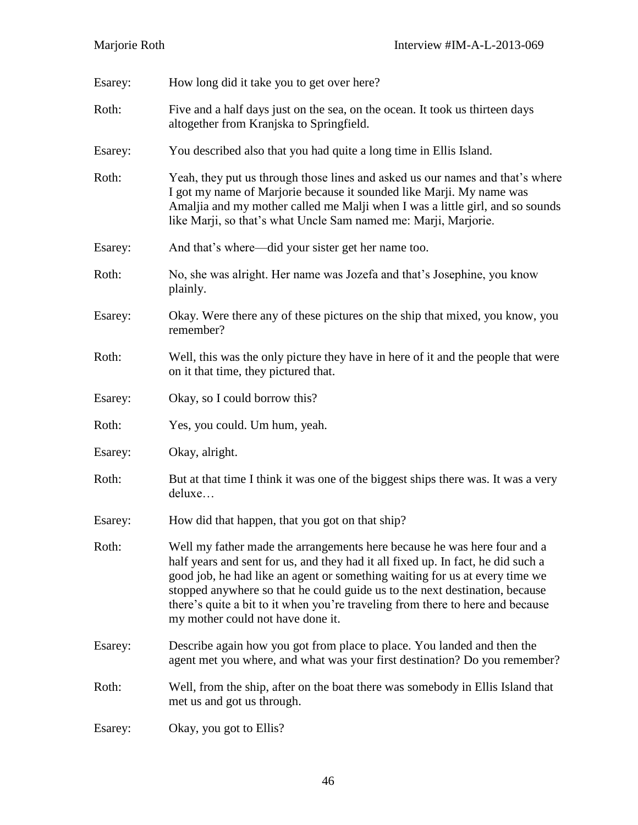| Esarey: | How long did it take you to get over here?                                                                                                                                                                                                                                                                                                                                                                                                        |
|---------|---------------------------------------------------------------------------------------------------------------------------------------------------------------------------------------------------------------------------------------------------------------------------------------------------------------------------------------------------------------------------------------------------------------------------------------------------|
| Roth:   | Five and a half days just on the sea, on the ocean. It took us thirteen days<br>altogether from Kranjska to Springfield.                                                                                                                                                                                                                                                                                                                          |
| Esarey: | You described also that you had quite a long time in Ellis Island.                                                                                                                                                                                                                                                                                                                                                                                |
| Roth:   | Yeah, they put us through those lines and asked us our names and that's where<br>I got my name of Marjorie because it sounded like Marji. My name was<br>Amaljia and my mother called me Malji when I was a little girl, and so sounds<br>like Marji, so that's what Uncle Sam named me: Marji, Marjorie.                                                                                                                                         |
| Esarey: | And that's where—did your sister get her name too.                                                                                                                                                                                                                                                                                                                                                                                                |
| Roth:   | No, she was alright. Her name was Jozefa and that's Josephine, you know<br>plainly.                                                                                                                                                                                                                                                                                                                                                               |
| Esarey: | Okay. Were there any of these pictures on the ship that mixed, you know, you<br>remember?                                                                                                                                                                                                                                                                                                                                                         |
| Roth:   | Well, this was the only picture they have in here of it and the people that were<br>on it that time, they pictured that.                                                                                                                                                                                                                                                                                                                          |
| Esarey: | Okay, so I could borrow this?                                                                                                                                                                                                                                                                                                                                                                                                                     |
| Roth:   | Yes, you could. Um hum, yeah.                                                                                                                                                                                                                                                                                                                                                                                                                     |
| Esarey: | Okay, alright.                                                                                                                                                                                                                                                                                                                                                                                                                                    |
| Roth:   | But at that time I think it was one of the biggest ships there was. It was a very<br>deluxe                                                                                                                                                                                                                                                                                                                                                       |
| Esarey: | How did that happen, that you got on that ship?                                                                                                                                                                                                                                                                                                                                                                                                   |
| Roth:   | Well my father made the arrangements here because he was here four and a<br>half years and sent for us, and they had it all fixed up. In fact, he did such a<br>good job, he had like an agent or something waiting for us at every time we<br>stopped anywhere so that he could guide us to the next destination, because<br>there's quite a bit to it when you're traveling from there to here and because<br>my mother could not have done it. |
| Esarey: | Describe again how you got from place to place. You landed and then the<br>agent met you where, and what was your first destination? Do you remember?                                                                                                                                                                                                                                                                                             |
| Roth:   | Well, from the ship, after on the boat there was somebody in Ellis Island that<br>met us and got us through.                                                                                                                                                                                                                                                                                                                                      |
| Esarey: | Okay, you got to Ellis?                                                                                                                                                                                                                                                                                                                                                                                                                           |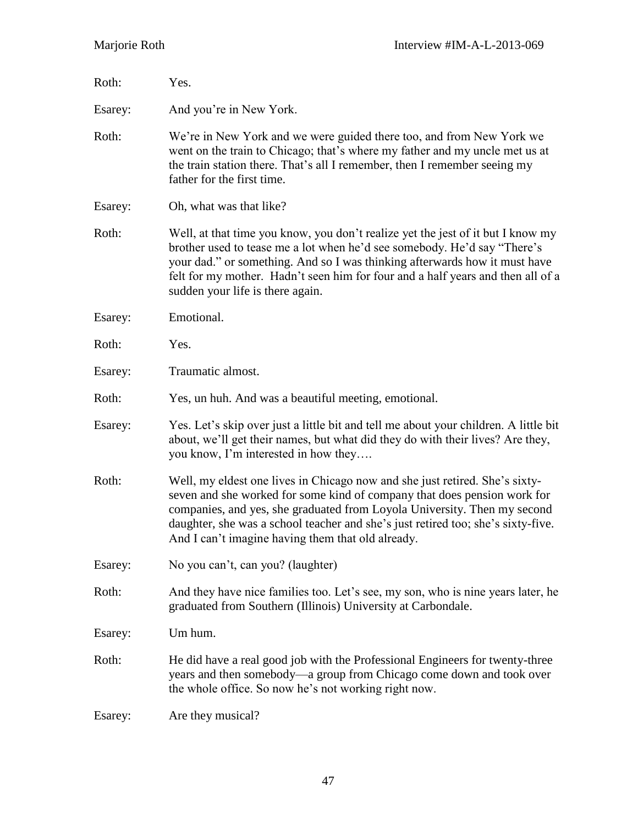| Roth:   | Yes.                                                                                                                                                                                                                                                                                                                                                                         |
|---------|------------------------------------------------------------------------------------------------------------------------------------------------------------------------------------------------------------------------------------------------------------------------------------------------------------------------------------------------------------------------------|
| Esarey: | And you're in New York.                                                                                                                                                                                                                                                                                                                                                      |
| Roth:   | We're in New York and we were guided there too, and from New York we<br>went on the train to Chicago; that's where my father and my uncle met us at<br>the train station there. That's all I remember, then I remember seeing my<br>father for the first time.                                                                                                               |
| Esarey: | Oh, what was that like?                                                                                                                                                                                                                                                                                                                                                      |
| Roth:   | Well, at that time you know, you don't realize yet the jest of it but I know my<br>brother used to tease me a lot when he'd see somebody. He'd say "There's<br>your dad." or something. And so I was thinking afterwards how it must have<br>felt for my mother. Hadn't seen him for four and a half years and then all of a<br>sudden your life is there again.             |
| Esarey: | Emotional.                                                                                                                                                                                                                                                                                                                                                                   |
| Roth:   | Yes.                                                                                                                                                                                                                                                                                                                                                                         |
| Esarey: | Traumatic almost.                                                                                                                                                                                                                                                                                                                                                            |
| Roth:   | Yes, un huh. And was a beautiful meeting, emotional.                                                                                                                                                                                                                                                                                                                         |
| Esarey: | Yes. Let's skip over just a little bit and tell me about your children. A little bit<br>about, we'll get their names, but what did they do with their lives? Are they,<br>you know, I'm interested in how they                                                                                                                                                               |
| Roth:   | Well, my eldest one lives in Chicago now and she just retired. She's sixty-<br>seven and she worked for some kind of company that does pension work for<br>companies, and yes, she graduated from Loyola University. Then my second<br>daughter, she was a school teacher and she's just retired too; she's sixty-five.<br>And I can't imagine having them that old already. |
| Esarey: | No you can't, can you? (laughter)                                                                                                                                                                                                                                                                                                                                            |
| Roth:   | And they have nice families too. Let's see, my son, who is nine years later, he<br>graduated from Southern (Illinois) University at Carbondale.                                                                                                                                                                                                                              |
| Esarey: | Um hum.                                                                                                                                                                                                                                                                                                                                                                      |
| Roth:   | He did have a real good job with the Professional Engineers for twenty-three<br>years and then somebody—a group from Chicago come down and took over<br>the whole office. So now he's not working right now.                                                                                                                                                                 |
| Esarey: | Are they musical?                                                                                                                                                                                                                                                                                                                                                            |